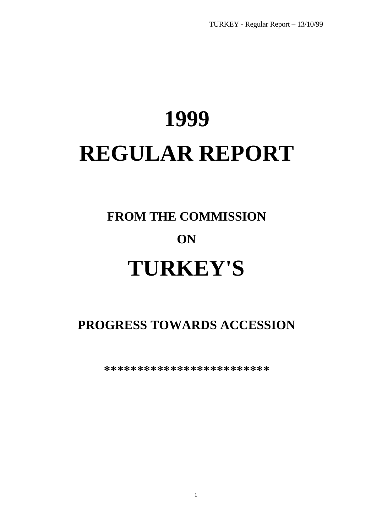# **1999 REGULAR REPORT**

# **FROM THE COMMISSION ON TURKEY'S**

# **PROGRESS TOWARDS ACCESSION**

**\*\*\*\*\*\*\*\*\*\*\*\*\*\*\*\*\*\*\*\*\*\*\*\*\***

1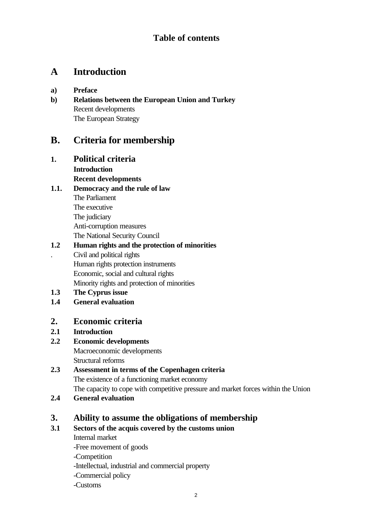# **Table of contents**

# **A Introduction**

# **a) Preface**

**b) Relations between the European Union and Turkey** Recent developments The European Strategy

# **B. Criteria for membership**

# **1. Political criteria Introduction Recent developments**

# **1.1. Democracy and the rule of law** The Parliament The executive The judiciary Anti-corruption measures The National Security Council

# **1.2 Human rights and the protection of minorities** . Civil and political rights Human rights protection instruments Economic, social and cultural rights Minority rights and protection of minorities

- **1.3 The Cyprus issue**
- **1.4 General evaluation**

# **2. Economic criteria**

# **2.1 Introduction**

- **2.2 Economic developments** Macroeconomic developments Structural reforms
- **2.3 Assessment in terms of the Copenhagen criteria** The existence of a functioning market economy The capacity to cope with competitive pressure and market forces within the Union
- **2.4 General evaluation**

# **3. Ability to assume the obligations of membership**

# **3.1 Sectors of the acquis covered by the customs union**

Internal market

-Free movement of goods

-Competition

-Intellectual, industrial and commercial property

-Commercial policy

-Customs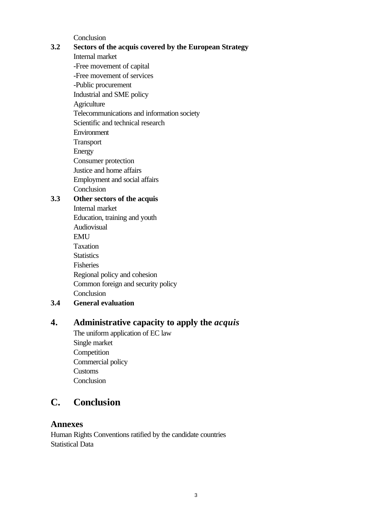Conclusion

#### **3.2 Sectors of the acquis covered by the European Strategy**

Internal market

- -Free movement of capital
- -Free movement of services
- -Public procurement

Industrial and SME policy

**Agriculture** 

Telecommunications and information society

Scientific and technical research

Environment

Transport

Energy

- Consumer protection
- Justice and home affairs
- Employment and social affairs
- Conclusion

# **3.3 Other sectors of the acquis**

Internal market Education, training and youth Audiovisual **EMU** Taxation **Statistics** Fisheries Regional policy and cohesion Common foreign and security policy Conclusion

# **3.4 General evaluation**

# **4. Administrative capacity to apply the** *acquis*

The uniform application of EC law Single market Competition Commercial policy Customs Conclusion

# **C. Conclusion**

# **Annexes**

Human Rights Conventions ratified by the candidate countries Statistical Data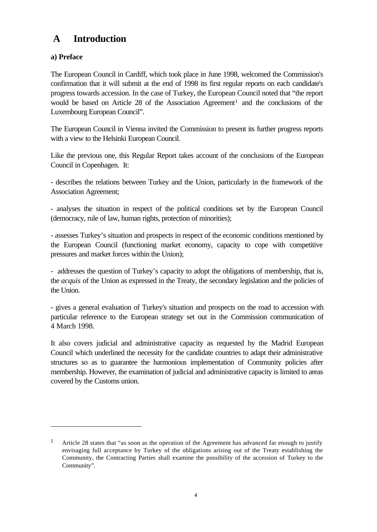# **A Introduction**

# **a) Preface**

l

The European Council in Cardiff, which took place in June 1998, welcomed the Commission's confirmation that it will submit at the end of 1998 its first regular reports on each candidate's progress towards accession. In the case of Turkey, the European Council noted that "the report would be based on Article 28 of the Association Agreement<sup>1</sup> and the conclusions of the Luxembourg European Council".

The European Council in Vienna invited the Commission to present its further progress reports with a view to the Helsinki European Council.

Like the previous one, this Regular Report takes account of the conclusions of the European Council in Copenhagen. It:

- describes the relations between Turkey and the Union, particularly in the framework of the Association Agreement;

- analyses the situation in respect of the political conditions set by the European Council (democracy, rule of law, human rights, protection of minorities);

- assesses Turkey's situation and prospects in respect of the economic conditions mentioned by the European Council (functioning market economy, capacity to cope with competitive pressures and market forces within the Union);

- addresses the question of Turkey's capacity to adopt the obligations of membership, that is, the *acquis* of the Union as expressed in the Treaty, the secondary legislation and the policies of the Union.

- gives a general evaluation of Turkey's situation and prospects on the road to accession with particular reference to the European strategy set out in the Commission communication of 4 March 1998.

It also covers judicial and administrative capacity as requested by the Madrid European Council which underlined the necessity for the candidate countries to adapt their administrative structures so as to guarantee the harmonious implementation of Community policies after membership. However, the examination of judicial and administrative capacity is limited to areas covered by the Customs union.

Article 28 states that "as soon as the operation of the Agreement has advanced far enough to justify envisaging full acceptance by Turkey of the obligations arising out of the Treaty establishing the Community, the Contracting Parties shall examine the possibility of the accession of Turkey to the Community".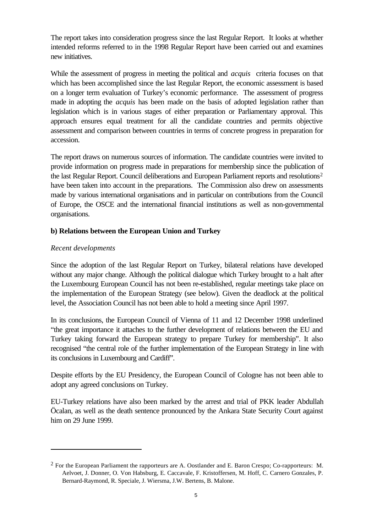The report takes into consideration progress since the last Regular Report. It looks at whether intended reforms referred to in the 1998 Regular Report have been carried out and examines new initiatives.

While the assessment of progress in meeting the political and *acquis* criteria focuses on that which has been accomplished since the last Regular Report, the economic assessment is based on a longer term evaluation of Turkey's economic performance. The assessment of progress made in adopting the *acquis* has been made on the basis of adopted legislation rather than legislation which is in various stages of either preparation or Parliamentary approval. This approach ensures equal treatment for all the candidate countries and permits objective assessment and comparison between countries in terms of concrete progress in preparation for accession.

The report draws on numerous sources of information. The candidate countries were invited to provide information on progress made in preparations for membership since the publication of the last Regular Report. Council deliberations and European Parliament reports and resolutions<sup>2</sup> have been taken into account in the preparations. The Commission also drew on assessments made by various international organisations and in particular on contributions from the Council of Europe, the OSCE and the international financial institutions as well as non-governmental organisations.

#### **b) Relations between the European Union and Turkey**

#### *Recent developments*

l

Since the adoption of the last Regular Report on Turkey, bilateral relations have developed without any major change. Although the political dialogue which Turkey brought to a halt after the Luxembourg European Council has not been re-established, regular meetings take place on the implementation of the European Strategy (see below). Given the deadlock at the political level, the Association Council has not been able to hold a meeting since April 1997.

In its conclusions, the European Council of Vienna of 11 and 12 December 1998 underlined "the great importance it attaches to the further development of relations between the EU and Turkey taking forward the European strategy to prepare Turkey for membership". It also recognised "the central role of the further implementation of the European Strategy in line with its conclusions in Luxembourg and Cardiff".

Despite efforts by the EU Presidency, the European Council of Cologne has not been able to adopt any agreed conclusions on Turkey.

EU-Turkey relations have also been marked by the arrest and trial of PKK leader Abdullah Öcalan, as well as the death sentence pronounced by the Ankara State Security Court against him on 29 June 1999.

<sup>2</sup> For the European Parliament the rapporteurs are A. Oostlander and E. Baron Crespo; Co-rapporteurs: M. Aelvoet, J. Donner, O. Von Habsburg, E. Caccavale, F. Kristoffersen, M. Hoff, C. Carnero Gonzales, P. Bernard-Raymond, R. Speciale, J. Wiersma, J.W. Bertens, B. Malone.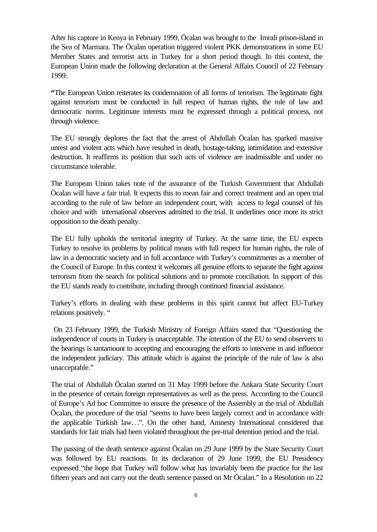After his capture in Kenya in February 1999, Öcalan was brought to the Imrali prison-island in the Sea of Marmara. The Öcalan operation triggered violent PKK demonstrations in some EU Member States and terrorist acts in Turkey for a short period though. In this context, the European Union made the following declaration at the General Affairs Council of 22 February 1999:

**"**The European Union reiterates its condemnation of all forms of terrorism. The legitimate fight against terrorism must be conducted in full respect of human rights, the rule of law and democratic norms. Legitimate interests must be expressed through a political process, not through violence.

The EU strongly deplores the fact that the arrest of Abdullah Öcalan has sparked massive unrest and violent acts which have resulted in death, hostage-taking, intimidation and extensive destruction. It reaffirms its position that such acts of violence are inadmissible and under no circumstance tolerable.

The European Union takes note of the assurance of the Turkish Government that Abdullah Öcalan will have a fair trial. It expects this to mean fair and correct treatment and an open trial according to the rule of law before an independent court, with access to legal counsel of his choice and with international observers admitted to the trial. It underlines once more its strict opposition to the death penalty.

The EU fully upholds the territorial integrity of Turkey. At the same time, the EU expects Turkey to resolve its problems by political means with full respect for human rights, the rule of law in a democratic society and in full accordance with Turkey's commitments as a member of the Council of Europe. In this context it welcomes all genuine efforts to separate the fight against terrorism from the search for political solutions and to promote conciliation. In support of this the EU stands ready to contribute, including through continued financial assistance.

Turkey's efforts in dealing with these problems in this spirit cannot but affect EU-Turkey relations positively. "

 On 23 February 1999, the Turkish Ministry of Foreign Affairs stated that "Questioning the independence of courts in Turkey is unacceptable. The intention of the EU to send observers to the hearings is tantamount to accepting and encouraging the efforts to intervene in and influence the independent judiciary. This attitude which is against the principle of the rule of law is also unacceptable."

The trial of Abdullah Öcalan started on 31 May 1999 before the Ankara State Security Court in the presence of certain foreign representatives as well as the press. According to the Council of Europe's Ad hoc Committee to ensure the presence of the Assembly at the trial of Abdullah Öcalan, the procedure of the trial "seems to have been largely correct and in accordance with the applicable Turkish law…". On the other hand, Amnesty International considered that standards for fair trials had been violated throughout the pre-trial detention period and the trial.

The passing of the death sentence against Öcalan on 29 June 1999 by the State Security Court was followed by EU reactions. In its declaration of 29 June 1999, the EU Presidency expressed "the hope that Turkey will follow what has invariably been the practice for the last fifteen years and not carry out the death sentence passed on Mr Öcalan." In a Resolution on 22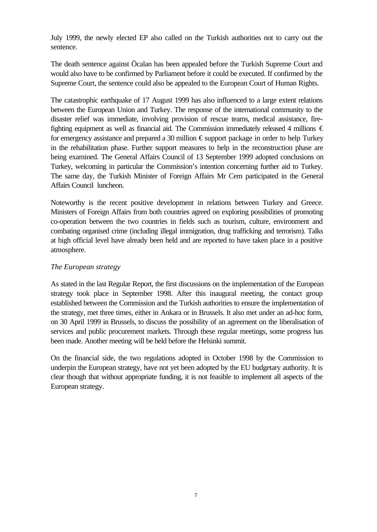July 1999, the newly elected EP also called on the Turkish authorities not to carry out the sentence.

The death sentence against Öcalan has been appealed before the Turkish Supreme Court and would also have to be confirmed by Parliament before it could be executed. If confirmed by the Supreme Court, the sentence could also be appealed to the European Court of Human Rights.

The catastrophic earthquake of 17 August 1999 has also influenced to a large extent relations between the European Union and Turkey. The response of the international community to the disaster relief was immediate, involving provision of rescue teams, medical assistance, firefighting equipment as well as financial aid. The Commission immediately released 4 millions  $\epsilon$ for emergency assistance and prepared a 30 million € support package in order to help Turkey in the rehabilitation phase. Further support measures to help in the reconstruction phase are being examined. The General Affairs Council of 13 September 1999 adopted conclusions on Turkey, welcoming in particular the Commission's intention concerning further aid to Turkey. The same day, the Turkish Minister of Foreign Affairs Mr Cem participated in the General Affairs Council luncheon.

Noteworthy is the recent positive development in relations between Turkey and Greece. Ministers of Foreign Affairs from both countries agreed on exploring possibilities of promoting co-operation between the two countries in fields such as tourism, culture, environment and combating organised crime (including illegal immigration, drug trafficking and terrorism). Talks at high official level have already been held and are reported to have taken place in a positive atmosphere.

#### *The European strategy*

As stated in the last Regular Report, the first discussions on the implementation of the European strategy took place in September 1998. After this inaugural meeting, the contact group established between the Commission and the Turkish authorities to ensure the implementation of the strategy, met three times, either in Ankara or in Brussels. It also met under an ad-hoc form, on 30 April 1999 in Brussels, to discuss the possibility of an agreement on the liberalisation of services and public procurement markets. Through these regular meetings, some progress has been made. Another meeting will be held before the Helsinki summit.

On the financial side, the two regulations adopted in October 1998 by the Commission to underpin the European strategy, have not yet been adopted by the EU budgetary authority. It is clear though that without appropriate funding, it is not feasible to implement all aspects of the European strategy.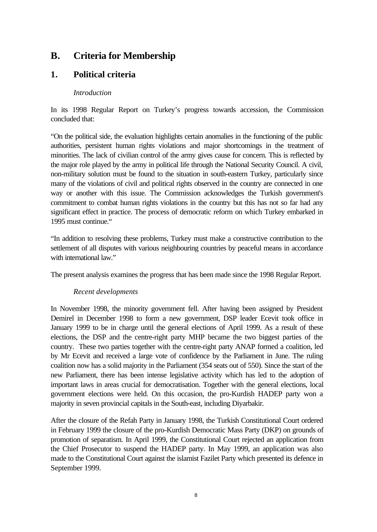# **B. Criteria for Membership**

# **1. Political criteria**

### *Introduction*

In its 1998 Regular Report on Turkey's progress towards accession, the Commission concluded that:

"On the political side, the evaluation highlights certain anomalies in the functioning of the public authorities, persistent human rights violations and major shortcomings in the treatment of minorities. The lack of civilian control of the army gives cause for concern. This is reflected by the major role played by the army in political life through the National Security Council. A civil, non-military solution must be found to the situation in south-eastern Turkey, particularly since many of the violations of civil and political rights observed in the country are connected in one way or another with this issue. The Commission acknowledges the Turkish government's commitment to combat human rights violations in the country but this has not so far had any significant effect in practice. The process of democratic reform on which Turkey embarked in 1995 must continue."

"In addition to resolving these problems, Turkey must make a constructive contribution to the settlement of all disputes with various neighbouring countries by peaceful means in accordance with international law."

The present analysis examines the progress that has been made since the 1998 Regular Report.

# *Recent developments*

In November 1998, the minority government fell. After having been assigned by President Demirel in December 1998 to form a new government, DSP leader Ecevit took office in January 1999 to be in charge until the general elections of April 1999. As a result of these elections, the DSP and the centre-right party MHP became the two biggest parties of the country. These two parties together with the centre-right party ANAP formed a coalition, led by Mr Ecevit and received a large vote of confidence by the Parliament in June. The ruling coalition now has a solid majority in the Parliament (354 seats out of 550). Since the start of the new Parliament, there has been intense legislative activity which has led to the adoption of important laws in areas crucial for democratisation. Together with the general elections, local government elections were held. On this occasion, the pro-Kurdish HADEP party won a majority in seven provincial capitals in the South-east, including Diyarbakir.

After the closure of the Refah Party in January 1998, the Turkish Constitutional Court ordered in February 1999 the closure of the pro-Kurdish Democratic Mass Party (DKP) on grounds of promotion of separatism. In April 1999, the Constitutional Court rejected an application from the Chief Prosecutor to suspend the HADEP party. In May 1999, an application was also made to the Constitutional Court against the islamist Fazilet Party which presented its defence in September 1999.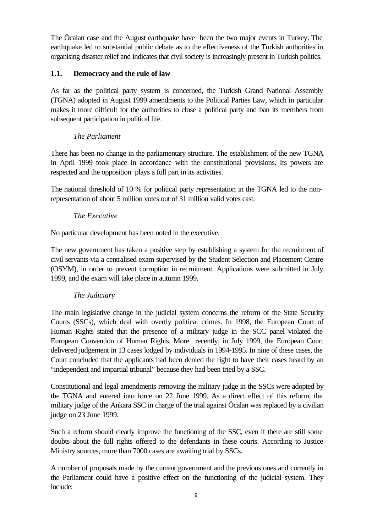The Öcalan case and the August earthquake have been the two major events in Turkey. The earthquake led to substantial public debate as to the effectiveness of the Turkish authorities in organising disaster relief and indicates that civil society is increasingly present in Turkish politics.

# **1.1. Democracy and the rule of law**

As far as the political party system is concerned, the Turkish Grand National Assembly (TGNA) adopted in August 1999 amendments to the Political Parties Law, which in particular makes it more difficult for the authorities to close a political party and ban its members from subsequent participation in political life.

# *The Parliament*

There has been no change in the parliamentary structure. The establishment of the new TGNA in April 1999 took place in accordance with the constitutional provisions. Its powers are respected and the opposition plays a full part in its activities.

The national threshold of 10 % for political party representation in the TGNA led to the nonrepresentation of about 5 million votes out of 31 million valid votes cast.

# *The Executive*

No particular development has been noted in the executive.

The new government has taken a positive step by establishing a system for the recruitment of civil servants via a centralised exam supervised by the Student Selection and Placement Centre (OSYM), in order to prevent corruption in recruitment. Applications were submitted in July 1999, and the exam will take place in autumn 1999.

# *The Judiciary*

The main legislative change in the judicial system concerns the reform of the State Security Courts (SSCs), which deal with overtly political crimes. In 1998, the European Court of Human Rights stated that the presence of a military judge in the SCC panel violated the European Convention of Human Rights. More recently, in July 1999, the European Court delivered judgement in 13 cases lodged by individuals in 1994-1995. In nine of these cases, the Court concluded that the applicants had been denied the right to have their cases heard by an "independent and impartial tribunal" because they had been tried by a SSC.

Constitutional and legal amendments removing the military judge in the SSCs were adopted by the TGNA and entered into force on 22 June 1999. As a direct effect of this reform, the military judge of the Ankara SSC in charge of the trial against Öcalan was replaced by a civilian judge on 23 June 1999.

Such a reform should clearly improve the functioning of the SSC, even if there are still some doubts about the full rights offered to the defendants in these courts. According to Justice Ministry sources, more than 7000 cases are awaiting trial by SSCs.

A number of proposals made by the current government and the previous ones and currently in the Parliament could have a positive effect on the functioning of the judicial system. They include: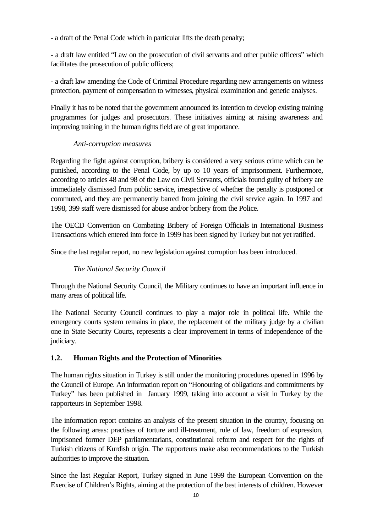- a draft of the Penal Code which in particular lifts the death penalty;

- a draft law entitled "Law on the prosecution of civil servants and other public officers" which facilitates the prosecution of public officers;

- a draft law amending the Code of Criminal Procedure regarding new arrangements on witness protection, payment of compensation to witnesses, physical examination and genetic analyses.

Finally it has to be noted that the government announced its intention to develop existing training programmes for judges and prosecutors. These initiatives aiming at raising awareness and improving training in the human rights field are of great importance.

#### *Anti-corruption measures*

Regarding the fight against corruption, bribery is considered a very serious crime which can be punished, according to the Penal Code, by up to 10 years of imprisonment. Furthermore, according to articles 48 and 98 of the Law on Civil Servants, officials found guilty of bribery are immediately dismissed from public service, irrespective of whether the penalty is postponed or commuted, and they are permanently barred from joining the civil service again. In 1997 and 1998, 399 staff were dismissed for abuse and/or bribery from the Police.

The OECD Convention on Combating Bribery of Foreign Officials in International Business Transactions which entered into force in 1999 has been signed by Turkey but not yet ratified.

Since the last regular report, no new legislation against corruption has been introduced.

# *The National Security Council*

Through the National Security Council, the Military continues to have an important influence in many areas of political life.

The National Security Council continues to play a major role in political life. While the emergency courts system remains in place, the replacement of the military judge by a civilian one in State Security Courts, represents a clear improvement in terms of independence of the judiciary.

# **1.2. Human Rights and the Protection of Minorities**

The human rights situation in Turkey is still under the monitoring procedures opened in 1996 by the Council of Europe. An information report on "Honouring of obligations and commitments by Turkey" has been published in January 1999, taking into account a visit in Turkey by the rapporteurs in September 1998.

The information report contains an analysis of the present situation in the country, focusing on the following areas: practises of torture and ill-treatment, rule of law, freedom of expression, imprisoned former DEP parliamentarians, constitutional reform and respect for the rights of Turkish citizens of Kurdish origin. The rapporteurs make also recommendations to the Turkish authorities to improve the situation.

Since the last Regular Report, Turkey signed in June 1999 the European Convention on the Exercise of Children's Rights, aiming at the protection of the best interests of children. However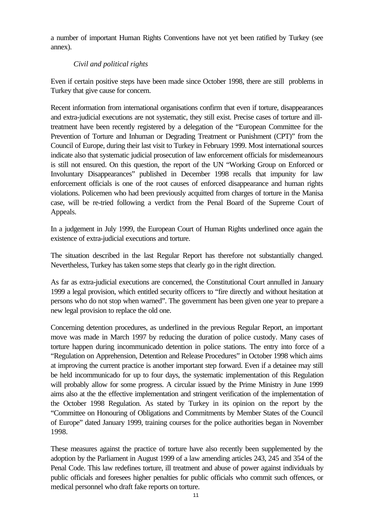a number of important Human Rights Conventions have not yet been ratified by Turkey (see annex).

# *Civil and political rights*

Even if certain positive steps have been made since October 1998, there are still problems in Turkey that give cause for concern.

Recent information from international organisations confirm that even if torture, disappearances and extra-judicial executions are not systematic, they still exist. Precise cases of torture and illtreatment have been recently registered by a delegation of the "European Committee for the Prevention of Torture and Inhuman or Degrading Treatment or Punishment (CPT)" from the Council of Europe, during their last visit to Turkey in February 1999. Most international sources indicate also that systematic judicial prosecution of law enforcement officials for misdemeanours is still not ensured. On this question, the report of the UN "Working Group on Enforced or Involuntary Disappearances" published in December 1998 recalls that impunity for law enforcement officials is one of the root causes of enforced disappearance and human rights violations. Policemen who had been previously acquitted from charges of torture in the Manisa case, will be re-tried following a verdict from the Penal Board of the Supreme Court of Appeals.

In a judgement in July 1999, the European Court of Human Rights underlined once again the existence of extra-judicial executions and torture.

The situation described in the last Regular Report has therefore not substantially changed. Nevertheless, Turkey has taken some steps that clearly go in the right direction.

As far as extra-judicial executions are concerned, the Constitutional Court annulled in January 1999 a legal provision, which entitled security officers to "fire directly and without hesitation at persons who do not stop when warned". The government has been given one year to prepare a new legal provision to replace the old one.

Concerning detention procedures, as underlined in the previous Regular Report, an important move was made in March 1997 by reducing the duration of police custody. Many cases of torture happen during incommunicado detention in police stations. The entry into force of a "Regulation on Apprehension, Detention and Release Procedures" in October 1998 which aims at improving the current practice is another important step forward. Even if a detainee may still be held incommunicado for up to four days, the systematic implementation of this Regulation will probably allow for some progress. A circular issued by the Prime Ministry in June 1999 aims also at the the effective implementation and stringent verification of the implementation of the October 1998 Regulation. As stated by Turkey in its opinion on the report by the "Committee on Honouring of Obligations and Commitments by Member States of the Council of Europe" dated January 1999, training courses for the police authorities began in November 1998.

These measures against the practice of torture have also recently been supplemented by the adoption by the Parliament in August 1999 of a law amending articles 243, 245 and 354 of the Penal Code. This law redefines torture, ill treatment and abuse of power against individuals by public officials and foresees higher penalties for public officials who commit such offences, or medical personnel who draft fake reports on torture.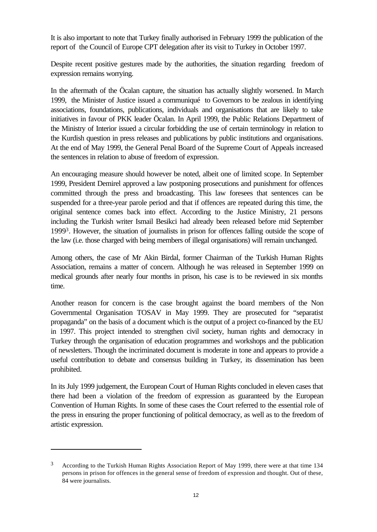It is also important to note that Turkey finally authorised in February 1999 the publication of the report of the Council of Europe CPT delegation after its visit to Turkey in October 1997.

Despite recent positive gestures made by the authorities, the situation regarding freedom of expression remains worrying.

In the aftermath of the Öcalan capture, the situation has actually slightly worsened. In March 1999, the Minister of Justice issued a communiqué to Governors to be zealous in identifying associations, foundations, publications, individuals and organisations that are likely to take initiatives in favour of PKK leader Öcalan. In April 1999, the Public Relations Department of the Ministry of Interior issued a circular forbidding the use of certain terminology in relation to the Kurdish question in press releases and publications by public institutions and organisations. At the end of May 1999, the General Penal Board of the Supreme Court of Appeals increased the sentences in relation to abuse of freedom of expression.

An encouraging measure should however be noted, albeit one of limited scope. In September 1999, President Demirel approved a law postponing prosecutions and punishment for offences committed through the press and broadcasting. This law foresees that sentences can be suspended for a three-year parole period and that if offences are repeated during this time, the original sentence comes back into effect. According to the Justice Ministry, 21 persons including the Turkish writer Ismail Besikci had already been released before mid September 19993. However, the situation of journalists in prison for offences falling outside the scope of the law (i.e. those charged with being members of illegal organisations) will remain unchanged.

Among others, the case of Mr Akin Birdal, former Chairman of the Turkish Human Rights Association, remains a matter of concern. Although he was released in September 1999 on medical grounds after nearly four months in prison, his case is to be reviewed in six months time.

Another reason for concern is the case brought against the board members of the Non Governmental Organisation TOSAV in May 1999. They are prosecuted for "separatist propaganda" on the basis of a document which is the output of a project co-financed by the EU in 1997. This project intended to strengthen civil society, human rights and democracy in Turkey through the organisation of education programmes and workshops and the publication of newsletters. Though the incriminated document is moderate in tone and appears to provide a useful contribution to debate and consensus building in Turkey, its dissemination has been prohibited.

In its July 1999 judgement, the European Court of Human Rights concluded in eleven cases that there had been a violation of the freedom of expression as guaranteed by the European Convention of Human Rights. In some of these cases the Court referred to the essential role of the press in ensuring the proper functioning of political democracy, as well as to the freedom of artistic expression.

l

<sup>3</sup> According to the Turkish Human Rights Association Report of May 1999, there were at that time 134 persons in prison for offences in the general sense of freedom of expression and thought. Out of these, 84 were journalists.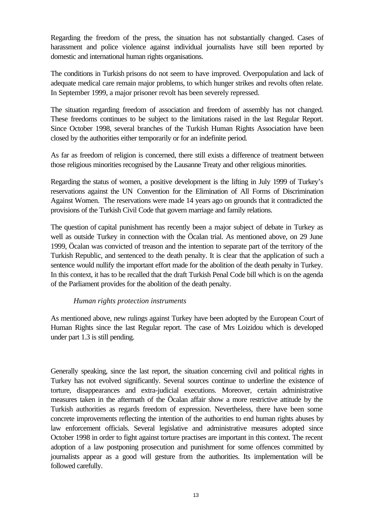Regarding the freedom of the press, the situation has not substantially changed. Cases of harassment and police violence against individual journalists have still been reported by domestic and international human rights organisations.

The conditions in Turkish prisons do not seem to have improved. Overpopulation and lack of adequate medical care remain major problems, to which hunger strikes and revolts often relate. In September 1999, a major prisoner revolt has been severely repressed.

The situation regarding freedom of association and freedom of assembly has not changed. These freedoms continues to be subject to the limitations raised in the last Regular Report. Since October 1998, several branches of the Turkish Human Rights Association have been closed by the authorities either temporarily or for an indefinite period.

As far as freedom of religion is concerned, there still exists a difference of treatment between those religious minorities recognised by the Lausanne Treaty and other religious minorities.

Regarding the status of women, a positive development is the lifting in July 1999 of Turkey's reservations against the UN Convention for the Elimination of All Forms of Discrimination Against Women. The reservations were made 14 years ago on grounds that it contradicted the provisions of the Turkish Civil Code that govern marriage and family relations.

The question of capital punishment has recently been a major subject of debate in Turkey as well as outside Turkey in connection with the Öcalan trial. As mentioned above, on 29 June 1999, Öcalan was convicted of treason and the intention to separate part of the territory of the Turkish Republic, and sentenced to the death penalty. It is clear that the application of such a sentence would nullify the important effort made for the abolition of the death penalty in Turkey. In this context, it has to be recalled that the draft Turkish Penal Code bill which is on the agenda of the Parliament provides for the abolition of the death penalty.

#### *Human rights protection instruments*

As mentioned above, new rulings against Turkey have been adopted by the European Court of Human Rights since the last Regular report. The case of Mrs Loizidou which is developed under part 1.3 is still pending.

Generally speaking, since the last report, the situation concerning civil and political rights in Turkey has not evolved significantly. Several sources continue to underline the existence of torture, disappearances and extra-judicial executions. Moreover, certain administrative measures taken in the aftermath of the Öcalan affair show a more restrictive attitude by the Turkish authorities as regards freedom of expression. Nevertheless, there have been some concrete improvements reflecting the intention of the authorities to end human rights abuses by law enforcement officials. Several legislative and administrative measures adopted since October 1998 in order to fight against torture practises are important in this context. The recent adoption of a law postponing prosecution and punishment for some offences committed by journalists appear as a good will gesture from the authorities. Its implementation will be followed carefully.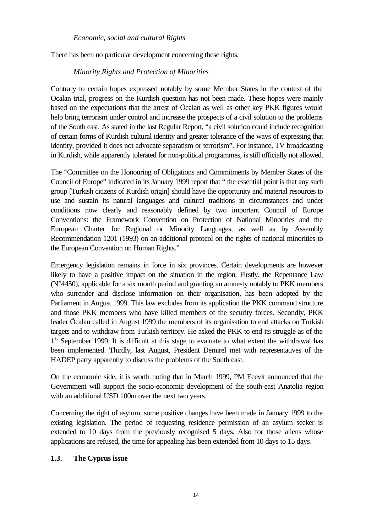#### *Economic, social and cultural Rights*

There has been no particular development concerning these rights.

#### *Minority Rights and Protection of Minorities*

Contrary to certain hopes expressed notably by some Member States in the context of the Öcalan trial, progress on the Kurdish question has not been made. These hopes were mainly based on the expectations that the arrest of Öcalan as well as other key PKK figures would help bring terrorism under control and increase the prospects of a civil solution to the problems of the South east. As stated in the last Regular Report, "a civil solution could include recognition of certain forms of Kurdish cultural identity and greater tolerance of the ways of expressing that identity, provided it does not advocate separatism or terrorism". For instance, TV broadcasting in Kurdish, while apparently tolerated for non-political programmes, is still officially not allowed.

The "Committee on the Honouring of Obligations and Commitments by Member States of the Council of Europe" indicated in its January 1999 report that " the essential point is that any such group [Turkish citizens of Kurdish origin] should have the opportunity and material resources to use and sustain its natural languages and cultural traditions in circumstances and under conditions now clearly and reasonably defined by two important Council of Europe Conventions: the Framework Convention on Protection of National Minorities and the European Charter for Regional or Minority Languages, as well as by Assembly Recommendation 1201 (1993) on an additional protocol on the rights of national minorities to the European Convention on Human Rights."

Emergency legislation remains in force in six provinces. Certain developments are however likely to have a positive impact on the situation in the region. Firstly, the Repentance Law (N°4450), applicable for a six month period and granting an amnesty notably to PKK members who surrender and disclose information on their organisation, has been adopted by the Parliament in August 1999. This law excludes from its application the PKK command structure and those PKK members who have killed members of the security forces. Secondly, PKK leader Öcalan called in August 1999 the members of its organisation to end attacks on Turkish targets and to withdraw from Turkish territory. He asked the PKK to end its struggle as of the 1<sup>st</sup> September 1999. It is difficult at this stage to evaluate to what extent the withdrawal has been implemented. Thirdly, last August, President Demirel met with representatives of the HADEP party apparently to discuss the problems of the South east.

On the economic side, it is worth noting that in March 1999, PM Ecevit announced that the Government will support the socio-economic development of the south-east Anatolia region with an additional USD 100m over the next two years.

Concerning the right of asylum, some positive changes have been made in January 1999 to the existing legislation. The period of requesting residence permission of an asylum seeker is extended to 10 days from the previously recognised 5 days. Also for those aliens whose applications are refused, the time for appealing has been extended from 10 days to 15 days*.*

#### **1.3. The Cyprus issue**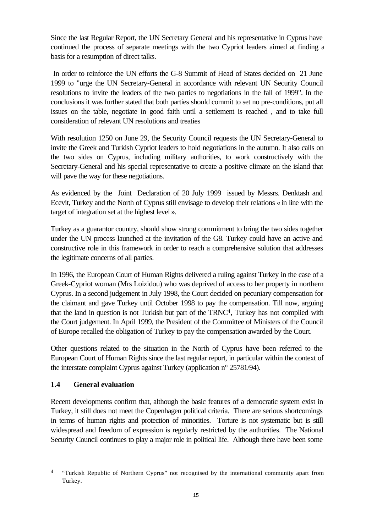Since the last Regular Report, the UN Secretary General and his representative in Cyprus have continued the process of separate meetings with the two Cypriot leaders aimed at finding a basis for a resumption of direct talks.

 In order to reinforce the UN efforts the G-8 Summit of Head of States decided on 21 June 1999 to "urge the UN Secretary-General in accordance with relevant UN Security Council resolutions to invite the leaders of the two parties to negotiations in the fall of 1999". In the conclusions it was further stated that both parties should commit to set no pre-conditions, put all issues on the table, negotiate in good faith until a settlement is reached , and to take full consideration of relevant UN resolutions and treaties

With resolution 1250 on June 29, the Security Council requests the UN Secretary-General to invite the Greek and Turkish Cypriot leaders to hold negotiations in the autumn. It also calls on the two sides on Cyprus, including military authorities, to work constructively with the Secretary-General and his special representative to create a positive climate on the island that will pave the way for these negotiations.

As evidenced by the Joint Declaration of 20 July 1999 issued by Messrs. Denktash and Ecevit, Turkey and the North of Cyprus still envisage to develop their relations « in line with the target of integration set at the highest level ».

Turkey as a guarantor country, should show strong commitment to bring the two sides together under the UN process launched at the invitation of the G8. Turkey could have an active and constructive role in this framework in order to reach a comprehensive solution that addresses the legitimate concerns of all parties.

In 1996, the European Court of Human Rights delivered a ruling against Turkey in the case of a Greek-Cypriot woman (Mrs Loizidou) who was deprived of access to her property in northern Cyprus. In a second judgement in July 1998, the Court decided on pecuniary compensation for the claimant and gave Turkey until October 1998 to pay the compensation. Till now, arguing that the land in question is not Turkish but part of the  $TRNC<sup>4</sup>$ , Turkey has not complied with the Court judgement. In April 1999, the President of the Committee of Ministers of the Council of Europe recalled the obligation of Turkey to pay the compensation awarded by the Court.

Other questions related to the situation in the North of Cyprus have been referred to the European Court of Human Rights since the last regular report, in particular within the context of the interstate complaint Cyprus against Turkey (application n° 25781/94).

# **1.4 General evaluation**

l

Recent developments confirm that, although the basic features of a democratic system exist in Turkey, it still does not meet the Copenhagen political criteria. There are serious shortcomings in terms of human rights and protection of minorities. Torture is not systematic but is still widespread and freedom of expression is regularly restricted by the authorities. The National Security Council continues to play a major role in political life. Although there have been some

<sup>4</sup> "Turkish Republic of Northern Cyprus" not recognised by the international community apart from Turkey.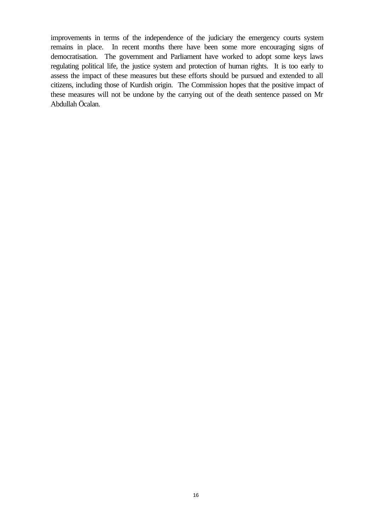improvements in terms of the independence of the judiciary the emergency courts system remains in place. In recent months there have been some more encouraging signs of democratisation. The government and Parliament have worked to adopt some keys laws regulating political life, the justice system and protection of human rights. It is too early to assess the impact of these measures but these efforts should be pursued and extended to all citizens, including those of Kurdish origin. The Commission hopes that the positive impact of these measures will not be undone by the carrying out of the death sentence passed on Mr Abdullah Öcalan.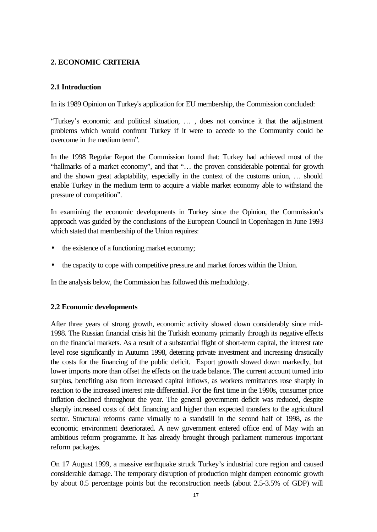# **2. ECONOMIC CRITERIA**

#### **2.1 Introduction**

In its 1989 Opinion on Turkey's application for EU membership, the Commission concluded:

"Turkey's economic and political situation, … , does not convince it that the adjustment problems which would confront Turkey if it were to accede to the Community could be overcome in the medium term".

In the 1998 Regular Report the Commission found that: Turkey had achieved most of the "hallmarks of a market economy", and that "… the proven considerable potential for growth and the shown great adaptability, especially in the context of the customs union, … should enable Turkey in the medium term to acquire a viable market economy able to withstand the pressure of competition".

In examining the economic developments in Turkey since the Opinion, the Commission's approach was guided by the conclusions of the European Council in Copenhagen in June 1993 which stated that membership of the Union requires:

- the existence of a functioning market economy;
- the capacity to cope with competitive pressure and market forces within the Union.

In the analysis below, the Commission has followed this methodology.

# **2.2 Economic developments**

After three years of strong growth, economic activity slowed down considerably since mid-1998. The Russian financial crisis hit the Turkish economy primarily through its negative effects on the financial markets. As a result of a substantial flight of short-term capital, the interest rate level rose significantly in Autumn 1998, deterring private investment and increasing drastically the costs for the financing of the public deficit. Export growth slowed down markedly, but lower imports more than offset the effects on the trade balance. The current account turned into surplus, benefiting also from increased capital inflows, as workers remittances rose sharply in reaction to the increased interest rate differential. For the first time in the 1990s, consumer price inflation declined throughout the year. The general government deficit was reduced, despite sharply increased costs of debt financing and higher than expected transfers to the agricultural sector. Structural reforms came virtually to a standstill in the second half of 1998, as the economic environment deteriorated. A new government entered office end of May with an ambitious reform programme. It has already brought through parliament numerous important reform packages.

On 17 August 1999, a massive earthquake struck Turkey's industrial core region and caused considerable damage. The temporary disruption of production might dampen economic growth by about 0.5 percentage points but the reconstruction needs (about 2.5-3.5% of GDP) will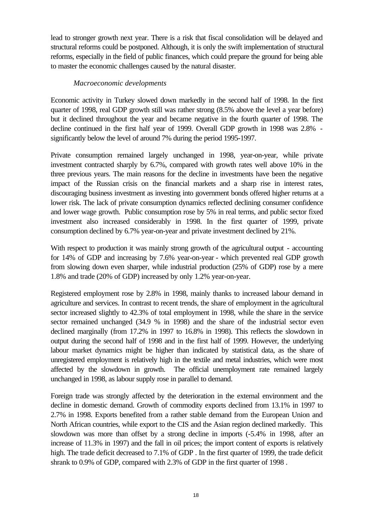lead to stronger growth next year. There is a risk that fiscal consolidation will be delayed and structural reforms could be postponed. Although, it is only the swift implementation of structural reforms, especially in the field of public finances, which could prepare the ground for being able to master the economic challenges caused by the natural disaster.

#### *Macroeconomic developments*

Economic activity in Turkey slowed down markedly in the second half of 1998. In the first quarter of 1998, real GDP growth still was rather strong (8.5% above the level a year before) but it declined throughout the year and became negative in the fourth quarter of 1998. The decline continued in the first half year of 1999. Overall GDP growth in 1998 was 2.8% significantly below the level of around 7% during the period 1995-1997.

Private consumption remained largely unchanged in 1998, year-on-year, while private investment contracted sharply by 6.7%, compared with growth rates well above 10% in the three previous years. The main reasons for the decline in investments have been the negative impact of the Russian crisis on the financial markets and a sharp rise in interest rates, discouraging business investment as investing into government bonds offered higher returns at a lower risk. The lack of private consumption dynamics reflected declining consumer confidence and lower wage growth. Public consumption rose by 5% in real terms, and public sector fixed investment also increased considerably in 1998. In the first quarter of 1999, private consumption declined by 6.7% year-on-year and private investment declined by 21%.

With respect to production it was mainly strong growth of the agricultural output - accounting for 14% of GDP and increasing by 7.6% year-on-year - which prevented real GDP growth from slowing down even sharper, while industrial production (25% of GDP) rose by a mere 1.8% and trade (20% of GDP) increased by only 1.2% year-on-year.

Registered employment rose by 2.8% in 1998, mainly thanks to increased labour demand in agriculture and services. In contrast to recent trends, the share of employment in the agricultural sector increased slightly to 42.3% of total employment in 1998, while the share in the service sector remained unchanged (34.9 % in 1998) and the share of the industrial sector even declined marginally (from 17.2% in 1997 to 16.8% in 1998). This reflects the slowdown in output during the second half of 1998 and in the first half of 1999. However, the underlying labour market dynamics might be higher than indicated by statistical data, as the share of unregistered employment is relatively high in the textile and metal industries, which were most affected by the slowdown in growth. The official unemployment rate remained largely unchanged in 1998, as labour supply rose in parallel to demand.

Foreign trade was strongly affected by the deterioration in the external environment and the decline in domestic demand. Growth of commodity exports declined from 13.1% in 1997 to 2.7% in 1998. Exports benefited from a rather stable demand from the European Union and North African countries, while export to the CIS and the Asian region declined markedly. This slowdown was more than offset by a strong decline in imports (-5.4% in 1998, after an increase of 11.3% in 1997) and the fall in oil prices; the import content of exports is relatively high. The trade deficit decreased to 7.1% of GDP . In the first quarter of 1999, the trade deficit shrank to 0.9% of GDP, compared with 2.3% of GDP in the first quarter of 1998 .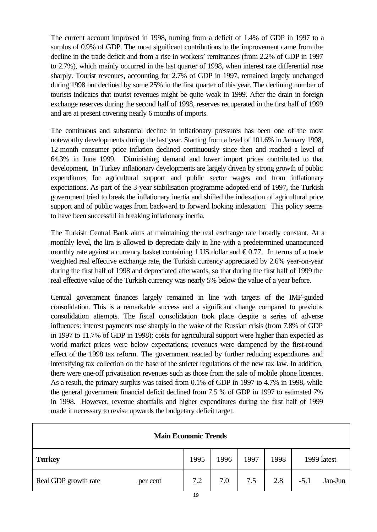The current account improved in 1998, turning from a deficit of 1.4% of GDP in 1997 to a surplus of 0.9% of GDP. The most significant contributions to the improvement came from the decline in the trade deficit and from a rise in workers' remittances (from 2.2% of GDP in 1997 to 2.7%), which mainly occurred in the last quarter of 1998, when interest rate differential rose sharply. Tourist revenues, accounting for 2.7% of GDP in 1997, remained largely unchanged during 1998 but declined by some 25% in the first quarter of this year. The declining number of tourists indicates that tourist revenues might be quite weak in 1999. After the drain in foreign exchange reserves during the second half of 1998, reserves recuperated in the first half of 1999 and are at present covering nearly 6 months of imports.

The continuous and substantial decline in inflationary pressures has been one of the most noteworthy developments during the last year. Starting from a level of 101.6% in January 1998, 12-month consumer price inflation declined continuously since then and reached a level of 64.3% in June 1999. Diminishing demand and lower import prices contributed to that development. In Turkey inflationary developments are largely driven by strong growth of public expenditures for agricultural support and public sector wages and from inflationary expectations. As part of the 3-year stabilisation programme adopted end of 1997, the Turkish government tried to break the inflationary inertia and shifted the indexation of agricultural price support and of public wages from backward to forward looking indexation. This policy seems to have been successful in breaking inflationary inertia.

The Turkish Central Bank aims at maintaining the real exchange rate broadly constant. At a monthly level, the lira is allowed to depreciate daily in line with a predetermined unannounced monthly rate against a currency basket containing 1 US dollar and  $\epsilon$ 0.77. In terms of a trade weighted real effective exchange rate, the Turkish currency appreciated by 2.6% year-on-year during the first half of 1998 and depreciated afterwards, so that during the first half of 1999 the real effective value of the Turkish currency was nearly 5% below the value of a year before.

Central government finances largely remained in line with targets of the IMF-guided consolidation. This is a remarkable success and a significant change compared to previous consolidation attempts. The fiscal consolidation took place despite a series of adverse influences: interest payments rose sharply in the wake of the Russian crisis (from 7.8% of GDP in 1997 to 11.7% of GDP in 1998); costs for agricultural support were higher than expected as world market prices were below expectations; revenues were dampened by the first-round effect of the 1998 tax reform. The government reacted by further reducing expenditures and intensifying tax collection on the base of the stricter regulations of the new tax law. In addition, there were one-off privatisation revenues such as those from the sale of mobile phone licences. As a result, the primary surplus was raised from 0.1% of GDP in 1997 to 4.7% in 1998, while the general government financial deficit declined from 7.5 % of GDP in 1997 to estimated 7% in 1998. However, revenue shortfalls and higher expenditures during the first half of 1999 made it necessary to revise upwards the budgetary deficit target.

| <b>Main Economic Trends</b> |          |      |      |      |      |        |             |
|-----------------------------|----------|------|------|------|------|--------|-------------|
| <b>Turkey</b>               |          | 1995 | 1996 | 1997 | 1998 |        | 1999 latest |
| Real GDP growth rate        | per cent | 7.2  | 7.0  | 7.5  | 2.8  | $-5.1$ | Jan-Jun     |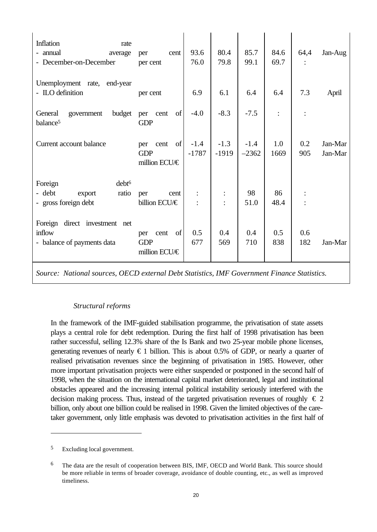| Inflation<br>rate<br>- annual<br>average<br>- December-on-December                          | per<br>cent<br>per cent                               | 93.6<br>76.0      | 80.4<br>79.8      | 85.7<br>99.1      | 84.6<br>69.7   | 64,4       | Jan-Aug            |
|---------------------------------------------------------------------------------------------|-------------------------------------------------------|-------------------|-------------------|-------------------|----------------|------------|--------------------|
| Unemployment rate, end-year<br>- ILO definition                                             | per cent                                              | 6.9               | 6.1               | 6.4               | 6.4            | 7.3        | April              |
| budget<br>General<br>government<br>balance <sup>5</sup>                                     | of<br>per<br>cent<br><b>GDP</b>                       | $-4.0$            | $-8.3$            | $-7.5$            | $\ddot{\cdot}$ |            |                    |
| Current account balance                                                                     | of<br>cent<br>per<br><b>GDP</b><br>million ECU/ $\in$ | $-1.4$<br>$-1787$ | $-1.3$<br>$-1919$ | $-1.4$<br>$-2362$ | 1.0<br>1669    | 0.2<br>905 | Jan-Mar<br>Jan-Mar |
| debt <sup>6</sup><br>Foreign<br>- debt<br>ratio<br>export<br>- gross foreign debt           | cent<br>per<br>billion ECU/ $\in$                     |                   |                   | 98<br>51.0        | 86<br>48.4     |            |                    |
| Foreign<br>direct investment net<br>inflow<br>- balance of payments data                    | of<br>cent<br>per<br><b>GDP</b><br>million ECU/ $\in$ | 0.5<br>677        | 0.4<br>569        | 0.4<br>710        | 0.5<br>838     | 0.6<br>182 | Jan-Mar            |
| Source: National sources, OECD external Debt Statistics, IMF Government Finance Statistics. |                                                       |                   |                   |                   |                |            |                    |

# *Structural reforms*

In the framework of the IMF-guided stabilisation programme, the privatisation of state assets plays a central role for debt redemption. During the first half of 1998 privatisation has been rather successful, selling 12.3% share of the Is Bank and two 25-year mobile phone licenses, generating revenues of nearly  $\epsilon$  1 billion. This is about 0.5% of GDP, or nearly a quarter of realised privatisation revenues since the beginning of privatisation in 1985. However, other more important privatisation projects were either suspended or postponed in the second half of 1998, when the situation on the international capital market deteriorated, legal and institutional obstacles appeared and the increasing internal political instability seriously interfered with the decision making process. Thus, instead of the targeted privatisation revenues of roughly  $\epsilon$  2 billion, only about one billion could be realised in 1998. Given the limited objectives of the caretaker government, only little emphasis was devoted to privatisation activities in the first half of

l

<sup>5</sup> Excluding local government.

<sup>&</sup>lt;sup>6</sup> The data are the result of cooperation between BIS, IMF, OECD and World Bank. This source should be more reliable in terms of broader coverage, avoidance of double counting, etc., as well as improved timeliness.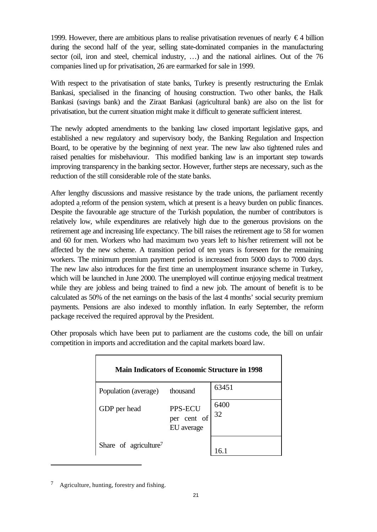1999. However, there are ambitious plans to realise privatisation revenues of nearly  $\epsilon$ 4 billion during the second half of the year, selling state-dominated companies in the manufacturing sector (oil, iron and steel, chemical industry, ...) and the national airlines. Out of the 76 companies lined up for privatisation, 26 are earmarked for sale in 1999.

With respect to the privatisation of state banks, Turkey is presently restructuring the Emlak Bankasi, specialised in the financing of housing construction. Two other banks, the Halk Bankasi (savings bank) and the Ziraat Bankasi (agricultural bank) are also on the list for privatisation, but the current situation might make it difficult to generate sufficient interest.

The newly adopted amendments to the banking law closed important legislative gaps, and established a new regulatory and supervisory body, the Banking Regulation and Inspection Board, to be operative by the beginning of next year. The new law also tightened rules and raised penalties for misbehaviour. This modified banking law is an important step towards improving transparency in the banking sector. However, further steps are necessary, such as the reduction of the still considerable role of the state banks.

After lengthy discussions and massive resistance by the trade unions, the parliament recently adopted a reform of the pension system, which at present is a heavy burden on public finances. Despite the favourable age structure of the Turkish population, the number of contributors is relatively low, while expenditures are relatively high due to the generous provisions on the retirement age and increasing life expectancy. The bill raises the retirement age to 58 for women and 60 for men. Workers who had maximum two years left to his/her retirement will not be affected by the new scheme. A transition period of ten years is foreseen for the remaining workers. The minimum premium payment period is increased from 5000 days to 7000 days. The new law also introduces for the first time an unemployment insurance scheme in Turkey, which will be launched in June 2000. The unemployed will continue enjoying medical treatment while they are jobless and being trained to find a new job. The amount of benefit is to be calculated as 50% of the net earnings on the basis of the last 4 months' social security premium payments. Pensions are also indexed to monthly inflation. In early September, the reform package received the required approval by the President.

Other proposals which have been put to parliament are the customs code, the bill on unfair competition in imports and accreditation and the capital markets board law.

|                                   |                                      | <b>Main Indicators of Economic Structure in 1998</b> |
|-----------------------------------|--------------------------------------|------------------------------------------------------|
| Population (average)              | thousand                             | 63451                                                |
| GDP per head                      | PPS-ECU<br>per cent of<br>EU average | 6400<br>32                                           |
| Share of agriculture <sup>7</sup> |                                      |                                                      |

<sup>7</sup> Agriculture, hunting, forestry and fishing.

l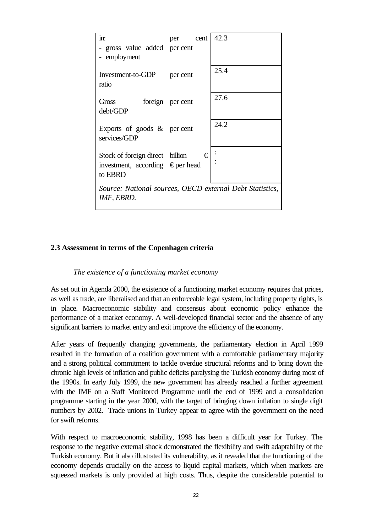| in:<br>- gross value added per cent<br>employment                                       | per cent         |   | 42.3 |
|-----------------------------------------------------------------------------------------|------------------|---|------|
| Investment-to-GDP<br>ratio                                                              | per cent         |   | 25.4 |
| Gross<br>debt/GDP                                                                       | foreign per cent |   | 27.6 |
| Exports of goods $\&$ per cent<br>services/GDP                                          |                  |   | 24.2 |
| Stock of foreign direct billion<br>investment, according $\epsilon$ per head<br>to EBRD |                  | € |      |
| Source: National sources, OECD external Debt Statistics,<br>IMF, EBRD.                  |                  |   |      |

#### **2.3 Assessment in terms of the Copenhagen criteria**

#### *The existence of a functioning market economy*

As set out in Agenda 2000, the existence of a functioning market economy requires that prices, as well as trade, are liberalised and that an enforceable legal system, including property rights, is in place. Macroeconomic stability and consensus about economic policy enhance the performance of a market economy. A well-developed financial sector and the absence of any significant barriers to market entry and exit improve the efficiency of the economy.

After years of frequently changing governments, the parliamentary election in April 1999 resulted in the formation of a coalition government with a comfortable parliamentary majority and a strong political commitment to tackle overdue structural reforms and to bring down the chronic high levels of inflation and public deficits paralysing the Turkish economy during most of the 1990s. In early July 1999, the new government has already reached a further agreement with the IMF on a Staff Monitored Programme until the end of 1999 and a consolidation programme starting in the year 2000, with the target of bringing down inflation to single digit numbers by 2002. Trade unions in Turkey appear to agree with the government on the need for swift reforms.

With respect to macroeconomic stability, 1998 has been a difficult year for Turkey. The response to the negative external shock demonstrated the flexibility and swift adaptability of the Turkish economy. But it also illustrated its vulnerability, as it revealed that the functioning of the economy depends crucially on the access to liquid capital markets, which when markets are squeezed markets is only provided at high costs. Thus, despite the considerable potential to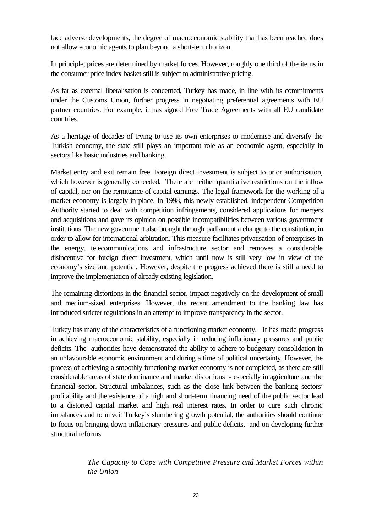face adverse developments, the degree of macroeconomic stability that has been reached does not allow economic agents to plan beyond a short-term horizon.

In principle, prices are determined by market forces. However, roughly one third of the items in the consumer price index basket still is subject to administrative pricing.

As far as external liberalisation is concerned, Turkey has made, in line with its commitments under the Customs Union, further progress in negotiating preferential agreements with EU partner countries. For example, it has signed Free Trade Agreements with all EU candidate countries.

As a heritage of decades of trying to use its own enterprises to modernise and diversify the Turkish economy, the state still plays an important role as an economic agent, especially in sectors like basic industries and banking.

Market entry and exit remain free. Foreign direct investment is subject to prior authorisation, which however is generally conceded. There are neither quantitative restrictions on the inflow of capital, nor on the remittance of capital earnings. The legal framework for the working of a market economy is largely in place. In 1998, this newly established, independent Competition Authority started to deal with competition infringements, considered applications for mergers and acquisitions and gave its opinion on possible incompatibilities between various government institutions. The new government also brought through parliament a change to the constitution, in order to allow for international arbitration. This measure facilitates privatisation of enterprises in the energy, telecommunications and infrastructure sector and removes a considerable disincentive for foreign direct investment, which until now is still very low in view of the economy's size and potential. However, despite the progress achieved there is still a need to improve the implementation of already existing legislation.

The remaining distortions in the financial sector, impact negatively on the development of small and medium-sized enterprises. However, the recent amendment to the banking law has introduced stricter regulations in an attempt to improve transparency in the sector.

Turkey has many of the characteristics of a functioning market economy. It has made progress in achieving macroeconomic stability, especially in reducing inflationary pressures and public deficits. The authorities have demonstrated the ability to adhere to budgetary consolidation in an unfavourable economic environment and during a time of political uncertainty. However, the process of achieving a smoothly functioning market economy is not completed, as there are still considerable areas of state dominance and market distortions - especially in agriculture and the financial sector. Structural imbalances, such as the close link between the banking sectors' profitability and the existence of a high and short-term financing need of the public sector lead to a distorted capital market and high real interest rates. In order to cure such chronic imbalances and to unveil Turkey's slumbering growth potential, the authorities should continue to focus on bringing down inflationary pressures and public deficits, and on developing further structural reforms.

> *The Capacity to Cope with Competitive Pressure and Market Forces within the Union*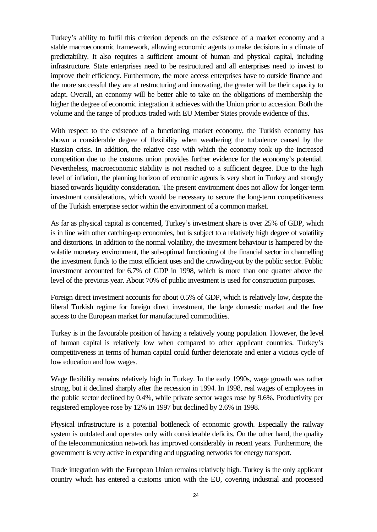Turkey's ability to fulfil this criterion depends on the existence of a market economy and a stable macroeconomic framework, allowing economic agents to make decisions in a climate of predictability. It also requires a sufficient amount of human and physical capital, including infrastructure. State enterprises need to be restructured and all enterprises need to invest to improve their efficiency. Furthermore, the more access enterprises have to outside finance and the more successful they are at restructuring and innovating, the greater will be their capacity to adapt. Overall, an economy will be better able to take on the obligations of membership the higher the degree of economic integration it achieves with the Union prior to accession. Both the volume and the range of products traded with EU Member States provide evidence of this.

With respect to the existence of a functioning market economy, the Turkish economy has shown a considerable degree of flexibility when weathering the turbulence caused by the Russian crisis. In addition, the relative ease with which the economy took up the increased competition due to the customs union provides further evidence for the economy's potential. Nevertheless, macroeconomic stability is not reached to a sufficient degree. Due to the high level of inflation, the planning horizon of economic agents is very short in Turkey and strongly biased towards liquidity consideration. The present environment does not allow for longer-term investment considerations, which would be necessary to secure the long-term competitiveness of the Turkish enterprise sector within the environment of a common market.

As far as physical capital is concerned, Turkey's investment share is over 25% of GDP, which is in line with other catching-up economies, but is subject to a relatively high degree of volatility and distortions. In addition to the normal volatility, the investment behaviour is hampered by the volatile monetary environment, the sub-optimal functioning of the financial sector in channelling the investment funds to the most efficient uses and the crowding-out by the public sector. Public investment accounted for 6.7% of GDP in 1998, which is more than one quarter above the level of the previous year. About 70% of public investment is used for construction purposes.

Foreign direct investment accounts for about 0.5% of GDP, which is relatively low, despite the liberal Turkish regime for foreign direct investment, the large domestic market and the free access to the European market for manufactured commodities.

Turkey is in the favourable position of having a relatively young population. However, the level of human capital is relatively low when compared to other applicant countries. Turkey's competitiveness in terms of human capital could further deteriorate and enter a vicious cycle of low education and low wages.

Wage flexibility remains relatively high in Turkey. In the early 1990s, wage growth was rather strong, but it declined sharply after the recession in 1994. In 1998, real wages of employees in the public sector declined by 0.4%, while private sector wages rose by 9.6%. Productivity per registered employee rose by 12% in 1997 but declined by 2.6% in 1998.

Physical infrastructure is a potential bottleneck of economic growth. Especially the railway system is outdated and operates only with considerable deficits. On the other hand, the quality of the telecommunication network has improved considerably in recent years. Furthermore, the government is very active in expanding and upgrading networks for energy transport.

Trade integration with the European Union remains relatively high. Turkey is the only applicant country which has entered a customs union with the EU, covering industrial and processed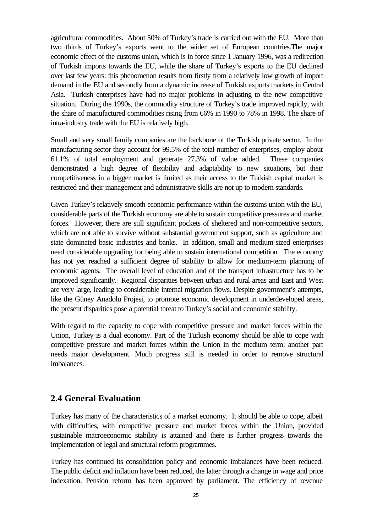agricultural commodities. About 50% of Turkey's trade is carried out with the EU. More than two thirds of Turkey's exports went to the wider set of European countries.The major economic effect of the customs union, which is in force since 1 January 1996, was a redirection of Turkish imports towards the EU, while the share of Turkey's exports to the EU declined over last few years: this phenomenon results from firstly from a relatively low growth of import demand in the EU and secondly from a dynamic increase of Turkish exports markets in Central Asia. Turkish enterprises have had no major problems in adjusting to the new competitive situation. During the 1990s, the commodity structure of Turkey's trade improved rapidly, with the share of manufactured commodities rising from 66% in 1990 to 78% in 1998. The share of intra-industry trade with the EU is relatively high.

Small and very small family companies are the backbone of the Turkish private sector. In the manufacturing sector they account for 99.5% of the total number of enterprises, employ about 61.1% of total employment and generate 27.3% of value added. These companies demonstrated a high degree of flexibility and adaptability to new situations, but their competitiveness in a bigger market is limited as their access to the Turkish capital market is restricted and their management and administrative skills are not up to modern standards.

Given Turkey's relatively smooth economic performance within the customs union with the EU, considerable parts of the Turkish economy are able to sustain competitive pressures and market forces. However, there are still significant pockets of sheltered and non-competitive sectors, which are not able to survive without substantial government support, such as agriculture and state dominated basic industries and banks. In addition, small and medium-sized enterprises need considerable upgrading for being able to sustain international competition. The economy has not yet reached a sufficient degree of stability to allow for medium-term planning of economic agents. The overall level of education and of the transport infrastructure has to be improved significantly. Regional disparities between urban and rural areas and East and West are very large, leading to considerable internal migration flows. Despite government's attempts, like the Güney Anadolu Projesi, to promote economic development in underdeveloped areas, the present disparities pose a potential threat to Turkey's social and economic stability.

With regard to the capacity to cope with competitive pressure and market forces within the Union, Turkey is a dual economy. Part of the Turkish economy should be able to cope with competitive pressure and market forces within the Union in the medium term; another part needs major development. Much progress still is needed in order to remove structural imbalances.

# **2.4 General Evaluation**

Turkey has many of the characteristics of a market economy. It should be able to cope, albeit with difficulties, with competitive pressure and market forces within the Union, provided sustainable macroeconomic stability is attained and there is further progress towards the implementation of legal and structural reform programmes.

Turkey has continued its consolidation policy and economic imbalances have been reduced. The public deficit and inflation have been reduced, the latter through a change in wage and price indexation. Pension reform has been approved by parliament. The efficiency of revenue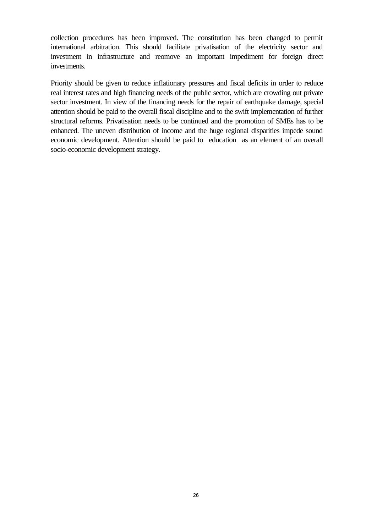collection procedures has been improved. The constitution has been changed to permit international arbitration. This should facilitate privatisation of the electricity sector and investment in infrastructure and reomove an important impediment for foreign direct investments.

Priority should be given to reduce inflationary pressures and fiscal deficits in order to reduce real interest rates and high financing needs of the public sector, which are crowding out private sector investment. In view of the financing needs for the repair of earthquake damage, special attention should be paid to the overall fiscal discipline and to the swift implementation of further structural reforms. Privatisation needs to be continued and the promotion of SMEs has to be enhanced. The uneven distribution of income and the huge regional disparities impede sound economic development. Attention should be paid to education as an element of an overall socio-economic development strategy.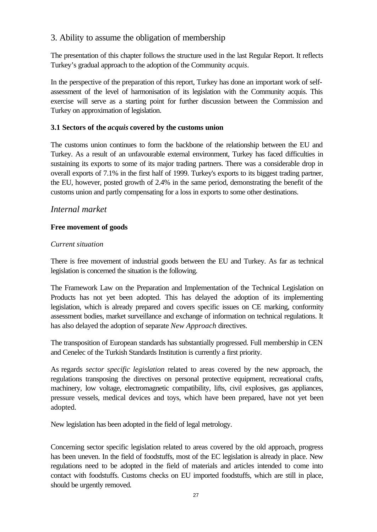# 3. Ability to assume the obligation of membership

The presentation of this chapter follows the structure used in the last Regular Report. It reflects Turkey's gradual approach to the adoption of the Community *acquis*.

In the perspective of the preparation of this report, Turkey has done an important work of selfassessment of the level of harmonisation of its legislation with the Community acquis. This exercise will serve as a starting point for further discussion between the Commission and Turkey on approximation of legislation.

# **3.1 Sectors of the** *acquis* **covered by the customs union**

The customs union continues to form the backbone of the relationship between the EU and Turkey. As a result of an unfavourable external environment, Turkey has faced difficulties in sustaining its exports to some of its major trading partners. There was a considerable drop in overall exports of 7.1% in the first half of 1999. Turkey's exports to its biggest trading partner, the EU, however, posted growth of 2.4% in the same period, demonstrating the benefit of the customs union and partly compensating for a loss in exports to some other destinations.

# *Internal market*

# **Free movement of goods**

# *Current situation*

There is free movement of industrial goods between the EU and Turkey. As far as technical legislation is concerned the situation is the following.

The Framework Law on the Preparation and Implementation of the Technical Legislation on Products has not yet been adopted. This has delayed the adoption of its implementing legislation, which is already prepared and covers specific issues on CE marking, conformity assessment bodies, market surveillance and exchange of information on technical regulations. It has also delayed the adoption of separate *New Approach* directives.

The transposition of European standards has substantially progressed. Full membership in CEN and Cenelec of the Turkish Standards Institution is currently a first priority.

As regards *sector specific legislation* related to areas covered by the new approach, the regulations transposing the directives on personal protective equipment, recreational crafts, machinery, low voltage, electromagnetic compatibility, lifts, civil explosives, gas appliances, pressure vessels, medical devices and toys, which have been prepared, have not yet been adopted.

New legislation has been adopted in the field of legal metrology.

Concerning sector specific legislation related to areas covered by the old approach, progress has been uneven. In the field of foodstuffs, most of the EC legislation is already in place. New regulations need to be adopted in the field of materials and articles intended to come into contact with foodstuffs. Customs checks on EU imported foodstuffs, which are still in place, should be urgently removed.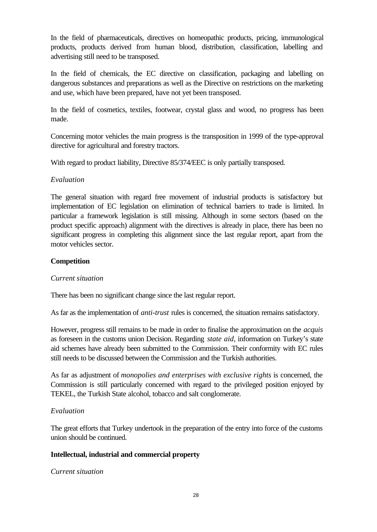In the field of pharmaceuticals, directives on homeopathic products, pricing, immunological products, products derived from human blood, distribution, classification, labelling and advertising still need to be transposed.

In the field of chemicals, the EC directive on classification, packaging and labelling on dangerous substances and preparations as well as the Directive on restrictions on the marketing and use, which have been prepared, have not yet been transposed.

In the field of cosmetics, textiles, footwear, crystal glass and wood, no progress has been made.

Concerning motor vehicles the main progress is the transposition in 1999 of the type-approval directive for agricultural and forestry tractors.

With regard to product liability, Directive  $85/374/EEC$  is only partially transposed.

#### *Evaluation*

The general situation with regard free movement of industrial products is satisfactory but implementation of EC legislation on elimination of technical barriers to trade is limited. In particular a framework legislation is still missing. Although in some sectors (based on the product specific approach) alignment with the directives is already in place, there has been no significant progress in completing this alignment since the last regular report, apart from the motor vehicles sector.

#### **Competition**

#### *Current situation*

There has been no significant change since the last regular report.

As far as the implementation of *anti-trust* rules is concerned, the situation remains satisfactory.

However, progress still remains to be made in order to finalise the approximation on the *acquis* as foreseen in the customs union Decision. Regarding *state aid*, information on Turkey's state aid schemes have already been submitted to the Commission. Their conformity with EC rules still needs to be discussed between the Commission and the Turkish authorities.

As far as adjustment of *monopolies and enterprises with exclusive rights* is concerned, the Commission is still particularly concerned with regard to the privileged position enjoyed by TEKEL, the Turkish State alcohol, tobacco and salt conglomerate.

#### *Evaluation*

The great efforts that Turkey undertook in the preparation of the entry into force of the customs union should be continued.

#### **Intellectual, industrial and commercial property**

*Current situation*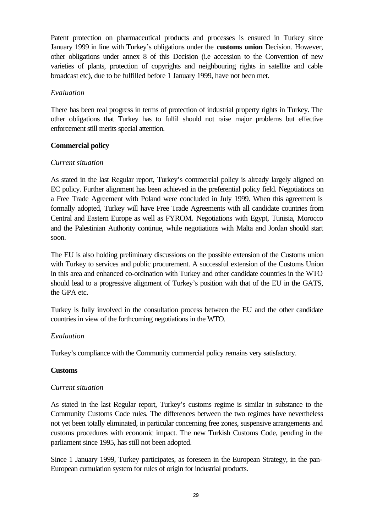Patent protection on pharmaceutical products and processes is ensured in Turkey since January 1999 in line with Turkey's obligations under the **customs union** Decision. However, other obligations under annex 8 of this Decision (i.e accession to the Convention of new varieties of plants, protection of copyrights and neighbouring rights in satellite and cable broadcast etc), due to be fulfilled before 1 January 1999, have not been met.

#### *Evaluation*

There has been real progress in terms of protection of industrial property rights in Turkey. The other obligations that Turkey has to fulfil should not raise major problems but effective enforcement still merits special attention.

# **Commercial policy**

#### *Current situation*

As stated in the last Regular report, Turkey's commercial policy is already largely aligned on EC policy. Further alignment has been achieved in the preferential policy field. Negotiations on a Free Trade Agreement with Poland were concluded in July 1999. When this agreement is formally adopted, Turkey will have Free Trade Agreements with all candidate countries from Central and Eastern Europe as well as FYROM. Negotiations with Egypt, Tunisia, Morocco and the Palestinian Authority continue, while negotiations with Malta and Jordan should start soon.

The EU is also holding preliminary discussions on the possible extension of the Customs union with Turkey to services and public procurement. A successful extension of the Customs Union in this area and enhanced co-ordination with Turkey and other candidate countries in the WTO should lead to a progressive alignment of Turkey's position with that of the EU in the GATS, the GPA etc.

Turkey is fully involved in the consultation process between the EU and the other candidate countries in view of the forthcoming negotiations in the WTO.

#### *Evaluation*

Turkey's compliance with the Community commercial policy remains very satisfactory.

#### **Customs**

#### *Current situation*

As stated in the last Regular report, Turkey's customs regime is similar in substance to the Community Customs Code rules. The differences between the two regimes have nevertheless not yet been totally eliminated, in particular concerning free zones, suspensive arrangements and customs procedures with economic impact. The new Turkish Customs Code, pending in the parliament since 1995, has still not been adopted.

Since 1 January 1999, Turkey participates, as foreseen in the European Strategy, in the pan-European cumulation system for rules of origin for industrial products.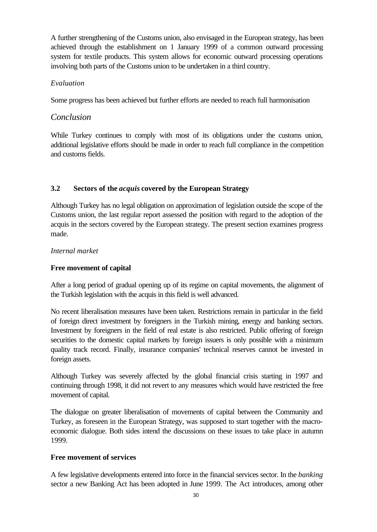A further strengthening of the Customs union, also envisaged in the European strategy, has been achieved through the establishment on 1 January 1999 of a common outward processing system for textile products. This system allows for economic outward processing operations involving both parts of the Customs union to be undertaken in a third country.

# *Evaluation*

Some progress has been achieved but further efforts are needed to reach full harmonisation

# *Conclusion*

While Turkey continues to comply with most of its obligations under the customs union, additional legislative efforts should be made in order to reach full compliance in the competition and customs fields.

# **3.2 Sectors of the** *acquis* **covered by the European Strategy**

Although Turkey has no legal obligation on approximation of legislation outside the scope of the Customs union, the last regular report assessed the position with regard to the adoption of the acquis in the sectors covered by the European strategy. The present section examines progress made.

#### *Internal market*

# **Free movement of capital**

After a long period of gradual opening up of its regime on capital movements, the alignment of the Turkish legislation with the acquis in this field is well advanced.

No recent liberalisation measures have been taken. Restrictions remain in particular in the field of foreign direct investment by foreigners in the Turkish mining, energy and banking sectors. Investment by foreigners in the field of real estate is also restricted. Public offering of foreign securities to the domestic capital markets by foreign issuers is only possible with a minimum quality track record. Finally, insurance companies' technical reserves cannot be invested in foreign assets.

Although Turkey was severely affected by the global financial crisis starting in 1997 and continuing through 1998, it did not revert to any measures which would have restricted the free movement of capital.

The dialogue on greater liberalisation of movements of capital between the Community and Turkey, as foreseen in the European Strategy, was supposed to start together with the macroeconomic dialogue. Both sides intend the discussions on these issues to take place in autumn 1999.

# **Free movement of services**

A few legislative developments entered into force in the financial services sector. In the *banking* sector a new Banking Act has been adopted in June 1999. The Act introduces, among other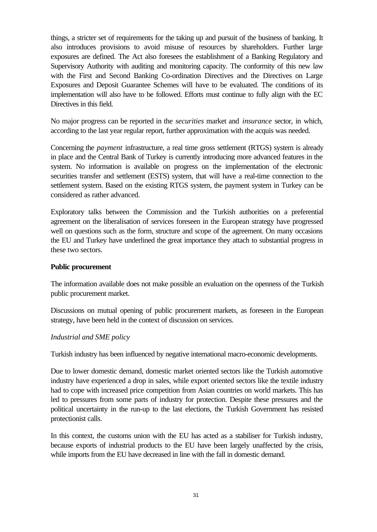things, a stricter set of requirements for the taking up and pursuit of the business of banking. It also introduces provisions to avoid misuse of resources by shareholders. Further large exposures are defined. The Act also foresees the establishment of a Banking Regulatory and Supervisory Authority with auditing and monitoring capacity. The conformity of this new law with the First and Second Banking Co-ordination Directives and the Directives on Large Exposures and Deposit Guarantee Schemes will have to be evaluated. The conditions of its implementation will also have to be followed. Efforts must continue to fully align with the EC Directives in this field.

No major progress can be reported in the *securities* market and *insurance* sector, in which, according to the last year regular report, further approximation with the acquis was needed.

Concerning the *payment* infrastructure, a real time gross settlement (RTGS) system is already in place and the Central Bank of Turkey is currently introducing more advanced features in the system. No information is available on progress on the implementation of the electronic securities transfer and settlement (ESTS) system, that will have a real-time connection to the settlement system. Based on the existing RTGS system, the payment system in Turkey can be considered as rather advanced.

Exploratory talks between the Commission and the Turkish authorities on a preferential agreement on the liberalisation of services foreseen in the European strategy have progressed well on questions such as the form, structure and scope of the agreement. On many occasions the EU and Turkey have underlined the great importance they attach to substantial progress in these two sectors.

#### **Public procurement**

The information available does not make possible an evaluation on the openness of the Turkish public procurement market.

Discussions on mutual opening of public procurement markets, as foreseen in the European strategy, have been held in the context of discussion on services.

#### *Industrial and SME policy*

Turkish industry has been influenced by negative international macro-economic developments.

Due to lower domestic demand, domestic market oriented sectors like the Turkish automotive industry have experienced a drop in sales, while export oriented sectors like the textile industry had to cope with increased price competition from Asian countries on world markets. This has led to pressures from some parts of industry for protection. Despite these pressures and the political uncertainty in the run-up to the last elections, the Turkish Government has resisted protectionist calls.

In this context, the customs union with the EU has acted as a stabiliser for Turkish industry, because exports of industrial products to the EU have been largely unaffected by the crisis, while imports from the EU have decreased in line with the fall in domestic demand.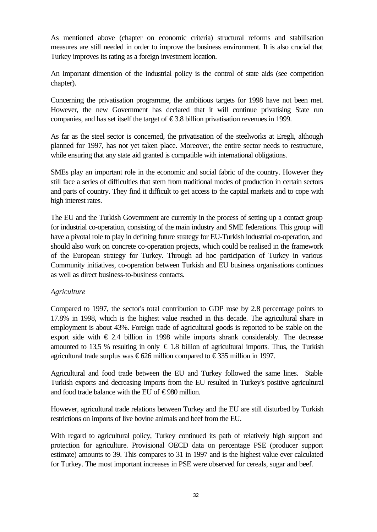As mentioned above (chapter on economic criteria) structural reforms and stabilisation measures are still needed in order to improve the business environment. It is also crucial that Turkey improves its rating as a foreign investment location.

An important dimension of the industrial policy is the control of state aids (see competition chapter).

Concerning the privatisation programme, the ambitious targets for 1998 have not been met. However, the new Government has declared that it will continue privatising State run companies, and has set itself the target of  $\epsilon$ 3.8 billion privatisation revenues in 1999.

As far as the steel sector is concerned, the privatisation of the steelworks at Eregli, although planned for 1997, has not yet taken place. Moreover, the entire sector needs to restructure, while ensuring that any state aid granted is compatible with international obligations.

SMEs play an important role in the economic and social fabric of the country. However they still face a series of difficulties that stem from traditional modes of production in certain sectors and parts of country. They find it difficult to get access to the capital markets and to cope with high interest rates.

The EU and the Turkish Government are currently in the process of setting up a contact group for industrial co-operation, consisting of the main industry and SME federations. This group will have a pivotal role to play in defining future strategy for EU-Turkish industrial co-operation, and should also work on concrete co-operation projects, which could be realised in the framework of the European strategy for Turkey. Through ad hoc participation of Turkey in various Community initiatives, co-operation between Turkish and EU business organisations continues as well as direct business-to-business contacts.

# *Agriculture*

Compared to 1997, the sector's total contribution to GDP rose by 2.8 percentage points to 17.8% in 1998, which is the highest value reached in this decade. The agricultural share in employment is about 43%. Foreign trade of agricultural goods is reported to be stable on the export side with  $\epsilon$  2.4 billion in 1998 while imports shrank considerably. The decrease amounted to 13,5 % resulting in only  $\epsilon$  1.8 billion of agricultural imports. Thus, the Turkish agricultural trade surplus was  $\epsilon$ 626 million compared to  $\epsilon$ 335 million in 1997.

Agricultural and food trade between the EU and Turkey followed the same lines. Stable Turkish exports and decreasing imports from the EU resulted in Turkey's positive agricultural and food trade balance with the EU of  $\in$ 980 million.

However, agricultural trade relations between Turkey and the EU are still disturbed by Turkish restrictions on imports of live bovine animals and beef from the EU.

With regard to agricultural policy, Turkey continued its path of relatively high support and protection for agriculture. Provisional OECD data on percentage PSE (producer support estimate) amounts to 39. This compares to 31 in 1997 and is the highest value ever calculated for Turkey. The most important increases in PSE were observed for cereals, sugar and beef.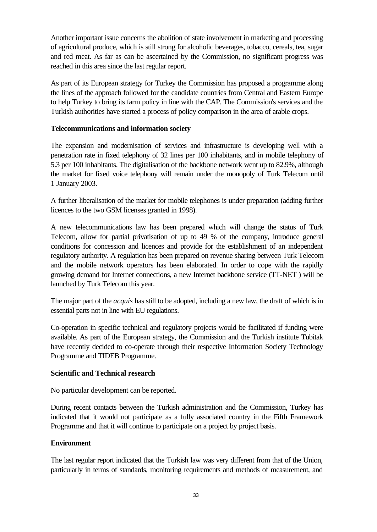Another important issue concerns the abolition of state involvement in marketing and processing of agricultural produce, which is still strong for alcoholic beverages, tobacco, cereals, tea, sugar and red meat. As far as can be ascertained by the Commission, no significant progress was reached in this area since the last regular report.

As part of its European strategy for Turkey the Commission has proposed a programme along the lines of the approach followed for the candidate countries from Central and Eastern Europe to help Turkey to bring its farm policy in line with the CAP. The Commission's services and the Turkish authorities have started a process of policy comparison in the area of arable crops.

#### **Telecommunications and information society**

The expansion and modernisation of services and infrastructure is developing well with a penetration rate in fixed telephony of 32 lines per 100 inhabitants, and in mobile telephony of 5.3 per 100 inhabitants. The digitalisation of the backbone network went up to 82.9%, although the market for fixed voice telephony will remain under the monopoly of Turk Telecom until 1 January 2003.

A further liberalisation of the market for mobile telephones is under preparation (adding further licences to the two GSM licenses granted in 1998).

A new telecommunications law has been prepared which will change the status of Turk Telecom, allow for partial privatisation of up to 49 % of the company, introduce general conditions for concession and licences and provide for the establishment of an independent regulatory authority. A regulation has been prepared on revenue sharing between Turk Telecom and the mobile network operators has been elaborated. In order to cope with the rapidly growing demand for Internet connections, a new Internet backbone service (TT-NET ) will be launched by Turk Telecom this year.

The major part of the *acquis* has still to be adopted, including a new law, the draft of which is in essential parts not in line with EU regulations.

Co-operation in specific technical and regulatory projects would be facilitated if funding were available. As part of the European strategy, the Commission and the Turkish institute Tubitak have recently decided to co-operate through their respective Information Society Technology Programme and TIDEB Programme.

#### **Scientific and Technical research**

No particular development can be reported.

During recent contacts between the Turkish administration and the Commission, Turkey has indicated that it would not participate as a fully associated country in the Fifth Framework Programme and that it will continue to participate on a project by project basis.

#### **Environment**

The last regular report indicated that the Turkish law was very different from that of the Union, particularly in terms of standards, monitoring requirements and methods of measurement, and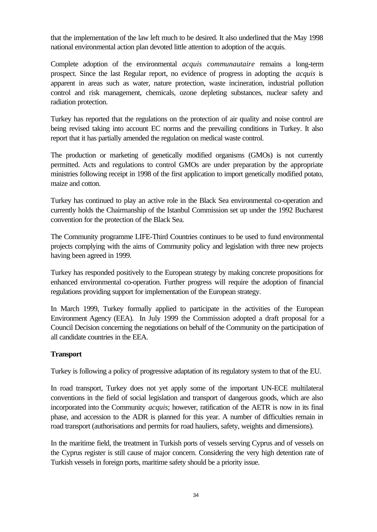that the implementation of the law left much to be desired. It also underlined that the May 1998 national environmental action plan devoted little attention to adoption of the acquis.

Complete adoption of the environmental *acquis communautaire* remains a long-term prospect. Since the last Regular report, no evidence of progress in adopting the *acquis* is apparent in areas such as water, nature protection, waste incineration, industrial pollution control and risk management, chemicals, ozone depleting substances, nuclear safety and radiation protection.

Turkey has reported that the regulations on the protection of air quality and noise control are being revised taking into account EC norms and the prevailing conditions in Turkey. It also report that it has partially amended the regulation on medical waste control.

The production or marketing of genetically modified organisms (GMOs) is not currently permitted. Acts and regulations to control GMOs are under preparation by the appropriate ministries following receipt in 1998 of the first application to import genetically modified potato, maize and cotton.

Turkey has continued to play an active role in the Black Sea environmental co-operation and currently holds the Chairmanship of the Istanbul Commission set up under the 1992 Bucharest convention for the protection of the Black Sea.

The Community programme LIFE-Third Countries continues to be used to fund environmental projects complying with the aims of Community policy and legislation with three new projects having been agreed in 1999.

Turkey has responded positively to the European strategy by making concrete propositions for enhanced environmental co-operation. Further progress will require the adoption of financial regulations providing support for implementation of the European strategy.

In March 1999, Turkey formally applied to participate in the activities of the European Environment Agency (EEA). In July 1999 the Commission adopted a draft proposal for a Council Decision concerning the negotiations on behalf of the Community on the participation of all candidate countries in the EEA.

# **Transport**

Turkey is following a policy of progressive adaptation of its regulatory system to that of the EU.

In road transport, Turkey does not yet apply some of the important UN-ECE multilateral conventions in the field of social legislation and transport of dangerous goods, which are also incorporated into the Community *acquis*; however, ratification of the AETR is now in its final phase, and accession to the ADR is planned for this year. A number of difficulties remain in road transport (authorisations and permits for road hauliers, safety, weights and dimensions).

In the maritime field, the treatment in Turkish ports of vessels serving Cyprus and of vessels on the Cyprus register is still cause of major concern. Considering the very high detention rate of Turkish vessels in foreign ports, maritime safety should be a priority issue.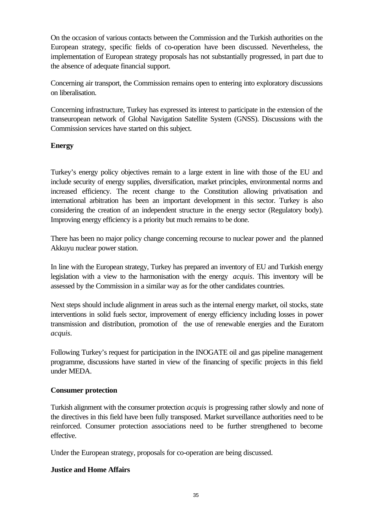On the occasion of various contacts between the Commission and the Turkish authorities on the European strategy, specific fields of co-operation have been discussed. Nevertheless, the implementation of European strategy proposals has not substantially progressed, in part due to the absence of adequate financial support.

Concerning air transport, the Commission remains open to entering into exploratory discussions on liberalisation.

Concerning infrastructure, Turkey has expressed its interest to participate in the extension of the transeuropean network of Global Navigation Satellite System (GNSS). Discussions with the Commission services have started on this subject.

# **Energy**

Turkey's energy policy objectives remain to a large extent in line with those of the EU and include security of energy supplies, diversification, market principles, environmental norms and increased efficiency. The recent change to the Constitution allowing privatisation and international arbitration has been an important development in this sector. Turkey is also considering the creation of an independent structure in the energy sector (Regulatory body). Improving energy efficiency is a priority but much remains to be done.

There has been no major policy change concerning recourse to nuclear power and the planned Akkuyu nuclear power station.

In line with the European strategy, Turkey has prepared an inventory of EU and Turkish energy legislation with a view to the harmonisation with the energy *acquis*. This inventory will be assessed by the Commission in a similar way as for the other candidates countries.

Next steps should include alignment in areas such as the internal energy market, oil stocks, state interventions in solid fuels sector, improvement of energy efficiency including losses in power transmission and distribution, promotion of the use of renewable energies and the Euratom *acquis*.

Following Turkey's request for participation in the INOGATE oil and gas pipeline management programme, discussions have started in view of the financing of specific projects in this field under MEDA.

#### **Consumer protection**

Turkish alignment with the consumer protection *acquis* is progressing rather slowly and none of the directives in this field have been fully transposed. Market surveillance authorities need to be reinforced. Consumer protection associations need to be further strengthened to become effective.

Under the European strategy, proposals for co-operation are being discussed.

# **Justice and Home Affairs**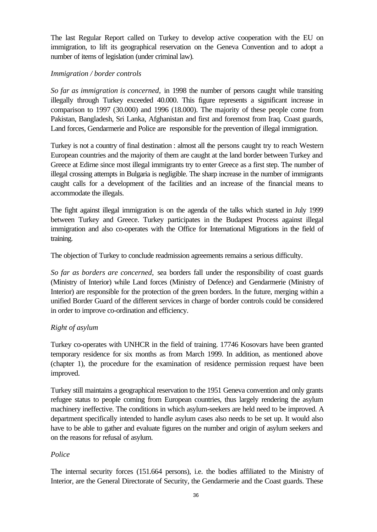The last Regular Report called on Turkey to develop active cooperation with the EU on immigration, to lift its geographical reservation on the Geneva Convention and to adopt a number of items of legislation (under criminal law).

### *Immigration / border controls*

*So far as immigration is concerned,* in 1998 the number of persons caught while transiting illegally through Turkey exceeded 40.000. This figure represents a significant increase in comparison to 1997 (30.000) and 1996 (18.000). The majority of these people come from Pakistan, Bangladesh, Sri Lanka, Afghanistan and first and foremost from Iraq. Coast guards, Land forces, Gendarmerie and Police are responsible for the prevention of illegal immigration.

Turkey is not a country of final destination : almost all the persons caught try to reach Western European countries and the majority of them are caught at the land border between Turkey and Greece at Edirne since most illegal immigrants try to enter Greece as a first step. The number of illegal crossing attempts in Bulgaria is negligible. The sharp increase in the number of immigrants caught calls for a development of the facilities and an increase of the financial means to accommodate the illegals.

The fight against illegal immigration is on the agenda of the talks which started in July 1999 between Turkey and Greece. Turkey participates in the Budapest Process against illegal immigration and also co-operates with the Office for International Migrations in the field of training.

The objection of Turkey to conclude readmission agreements remains a serious difficulty.

*So far as borders are concerned,* sea borders fall under the responsibility of coast guards (Ministry of Interior) while Land forces (Ministry of Defence) and Gendarmerie (Ministry of Interior) are responsible for the protection of the green borders. In the future, merging within a unified Border Guard of the different services in charge of border controls could be considered in order to improve co-ordination and efficiency.

# *Right of asylum*

Turkey co-operates with UNHCR in the field of training. 17746 Kosovars have been granted temporary residence for six months as from March 1999. In addition, as mentioned above (chapter 1), the procedure for the examination of residence permission request have been improved.

Turkey still maintains a geographical reservation to the 1951 Geneva convention and only grants refugee status to people coming from European countries, thus largely rendering the asylum machinery ineffective. The conditions in which asylum-seekers are held need to be improved. A department specifically intended to handle asylum cases also needs to be set up. It would also have to be able to gather and evaluate figures on the number and origin of asylum seekers and on the reasons for refusal of asylum.

# *Police*

The internal security forces (151.664 persons), i.e. the bodies affiliated to the Ministry of Interior, are the General Directorate of Security, the Gendarmerie and the Coast guards. These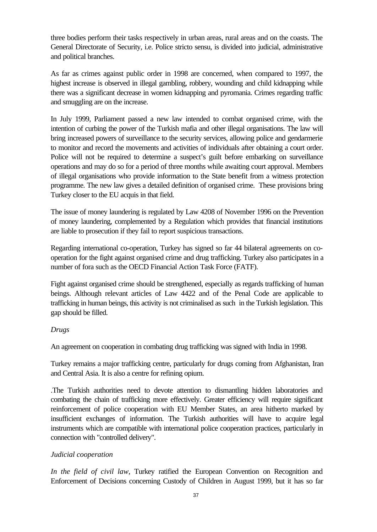three bodies perform their tasks respectively in urban areas, rural areas and on the coasts. The General Directorate of Security, i.e. Police stricto sensu, is divided into judicial, administrative and political branches.

As far as crimes against public order in 1998 are concerned, when compared to 1997, the highest increase is observed in illegal gambling, robbery, wounding and child kidnapping while there was a significant decrease in women kidnapping and pyromania. Crimes regarding traffic and smuggling are on the increase.

In July 1999, Parliament passed a new law intended to combat organised crime, with the intention of curbing the power of the Turkish mafia and other illegal organisations. The law will bring increased powers of surveillance to the security services, allowing police and gendarmerie to monitor and record the movements and activities of individuals after obtaining a court order. Police will not be required to determine a suspect's guilt before embarking on surveillance operations and may do so for a period of three months while awaiting court approval. Members of illegal organisations who provide information to the State benefit from a witness protection programme. The new law gives a detailed definition of organised crime. These provisions bring Turkey closer to the EU acquis in that field.

The issue of money laundering is regulated by Law 4208 of November 1996 on the Prevention of money laundering, complemented by a Regulation which provides that financial institutions are liable to prosecution if they fail to report suspicious transactions.

Regarding international co-operation, Turkey has signed so far 44 bilateral agreements on cooperation for the fight against organised crime and drug trafficking. Turkey also participates in a number of fora such as the OECD Financial Action Task Force (FATF).

Fight against organised crime should be strengthened, especially as regards trafficking of human beings. Although relevant articles of Law 4422 and of the Penal Code are applicable to trafficking in human beings, this activity is not criminalised as such in the Turkish legislation. This gap should be filled.

#### *Drugs*

An agreement on cooperation in combating drug trafficking was signed with India in 1998.

Turkey remains a major trafficking centre, particularly for drugs coming from Afghanistan, Iran and Central Asia. It is also a centre for refining opium.

.The Turkish authorities need to devote attention to dismantling hidden laboratories and combating the chain of trafficking more effectively. Greater efficiency will require significant reinforcement of police cooperation with EU Member States, an area hitherto marked by insufficient exchanges of information. The Turkish authorities will have to acquire legal instruments which are compatible with international police cooperation practices, particularly in connection with "controlled delivery".

# *Judicial cooperation*

*In the field of civil law*, Turkey ratified the European Convention on Recognition and Enforcement of Decisions concerning Custody of Children in August 1999, but it has so far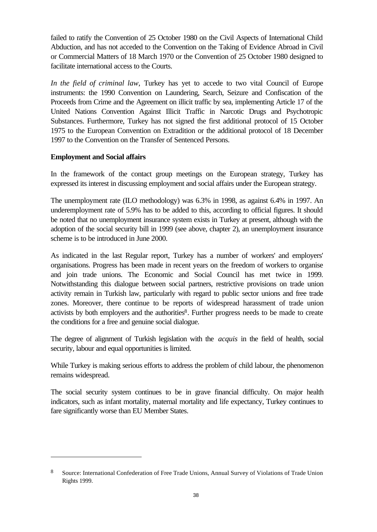failed to ratify the Convention of 25 October 1980 on the Civil Aspects of International Child Abduction, and has not acceded to the Convention on the Taking of Evidence Abroad in Civil or Commercial Matters of 18 March 1970 or the Convention of 25 October 1980 designed to facilitate international access to the Courts.

*In the field of criminal law*, Turkey has yet to accede to two vital Council of Europe instruments: the 1990 Convention on Laundering, Search, Seizure and Confiscation of the Proceeds from Crime and the Agreement on illicit traffic by sea, implementing Article 17 of the United Nations Convention Against Illicit Traffic in Narcotic Drugs and Psychotropic Substances. Furthermore, Turkey has not signed the first additional protocol of 15 October 1975 to the European Convention on Extradition or the additional protocol of 18 December 1997 to the Convention on the Transfer of Sentenced Persons.

#### **Employment and Social affairs**

l

In the framework of the contact group meetings on the European strategy, Turkey has expressed its interest in discussing employment and social affairs under the European strategy.

The unemployment rate (ILO methodology) was 6.3% in 1998, as against 6.4% in 1997. An underemployment rate of 5.9% has to be added to this, according to official figures. It should be noted that no unemployment insurance system exists in Turkey at present, although with the adoption of the social security bill in 1999 (see above, chapter 2), an unemployment insurance scheme is to be introduced in June 2000.

As indicated in the last Regular report, Turkey has a number of workers' and employers' organisations. Progress has been made in recent years on the freedom of workers to organise and join trade unions. The Economic and Social Council has met twice in 1999. Notwithstanding this dialogue between social partners, restrictive provisions on trade union activity remain in Turkish law, particularly with regard to public sector unions and free trade zones. Moreover, there continue to be reports of widespread harassment of trade union activists by both employers and the authorities<sup>8</sup>. Further progress needs to be made to create the conditions for a free and genuine social dialogue.

The degree of alignment of Turkish legislation with the *acquis* in the field of health, social security, labour and equal opportunities is limited.

While Turkey is making serious efforts to address the problem of child labour, the phenomenon remains widespread.

The social security system continues to be in grave financial difficulty. On major health indicators, such as infant mortality, maternal mortality and life expectancy, Turkey continues to fare significantly worse than EU Member States.

<sup>8</sup> Source: International Confederation of Free Trade Unions, Annual Survey of Violations of Trade Union Rights 1999.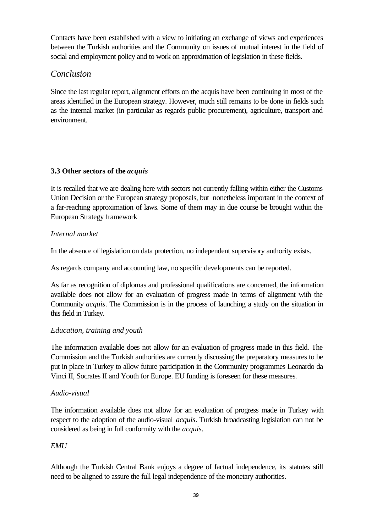Contacts have been established with a view to initiating an exchange of views and experiences between the Turkish authorities and the Community on issues of mutual interest in the field of social and employment policy and to work on approximation of legislation in these fields.

# *Conclusion*

Since the last regular report, alignment efforts on the acquis have been continuing in most of the areas identified in the European strategy. However, much still remains to be done in fields such as the internal market (in particular as regards public procurement), agriculture, transport and environment.

# **3.3 Other sectors of the** *acquis*

It is recalled that we are dealing here with sectors not currently falling within either the Customs Union Decision or the European strategy proposals, but nonetheless important in the context of a far-reaching approximation of laws. Some of them may in due course be brought within the European Strategy framework

# *Internal market*

In the absence of legislation on data protection, no independent supervisory authority exists.

As regards company and accounting law, no specific developments can be reported.

As far as recognition of diplomas and professional qualifications are concerned, the information available does not allow for an evaluation of progress made in terms of alignment with the Community *acquis*. The Commission is in the process of launching a study on the situation in this field in Turkey.

# *Education, training and youth*

The information available does not allow for an evaluation of progress made in this field. The Commission and the Turkish authorities are currently discussing the preparatory measures to be put in place in Turkey to allow future participation in the Community programmes Leonardo da Vinci II, Socrates II and Youth for Europe. EU funding is foreseen for these measures.

# *Audio-visual*

The information available does not allow for an evaluation of progress made in Turkey with respect to the adoption of the audio-visual *acquis*. Turkish broadcasting legislation can not be considered as being in full conformity with the *acquis*.

# *EMU*

Although the Turkish Central Bank enjoys a degree of factual independence, its statutes still need to be aligned to assure the full legal independence of the monetary authorities.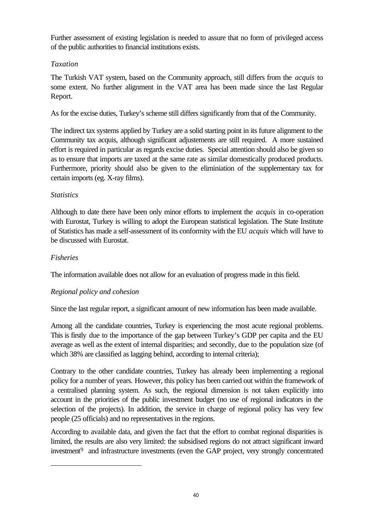Further assessment of existing legislation is needed to assure that no form of privileged access of the public authorities to financial institutions exists.

# *Taxation*

The Turkish VAT system, based on the Community approach, still differs from the *acquis* to some extent. No further alignment in the VAT area has been made since the last Regular Report.

As for the excise duties, Turkey's scheme still differs significantly from that of the Community.

The indirect tax systems applied by Turkey are a solid starting point in its future alignment to the Community tax acquis, although significant adjustements are still required. A more sustained effort is required in particular as regards excise duties. Special attention should also be given so as to ensure that imports are taxed at the same rate as similar domestically produced products. Furthermore, priority should also be given to the eliminiation of the supplementary tax for certain imports (eg. X-ray films).

# *Statistics*

Although to date there have been only minor efforts to implement the *acquis* in co-operation with Eurostat, Turkey is willing to adopt the European statistical legislation. The State Institute of Statistics has made a self-assessment of its conformity with the EU *acquis* which will have to be discussed with Eurostat.

# *Fisheries*

l

The information available does not allow for an evaluation of progress made in this field.

# *Regional policy and cohesion*

Since the last regular report, a significant amount of new information has been made available.

Among all the candidate countries, Turkey is experiencing the most acute regional problems. This is firstly due to the importance of the gap between Turkey's GDP per capita and the EU average as well as the extent of internal disparities; and secondly, due to the population size (of which 38% are classified as lagging behind, according to internal criteria);

Contrary to the other candidate countries, Turkey has already been implementing a regional policy for a number of years*.* However, this policy has been carried out within the framework of a centralised planning system. As such, the regional dimension is not taken explicitly into account in the priorities of the public investment budget (no use of regional indicators in the selection of the projects). In addition, the service in charge of regional policy has very few people (25 officials) and no representatives in the regions.

According to available data, and given the fact that the effort to combat regional disparities is limited, the results are also very limited: the subsidised regions do not attract significant inward investment<sup>9</sup> and infrastructure investments (even the GAP project, very strongly concentrated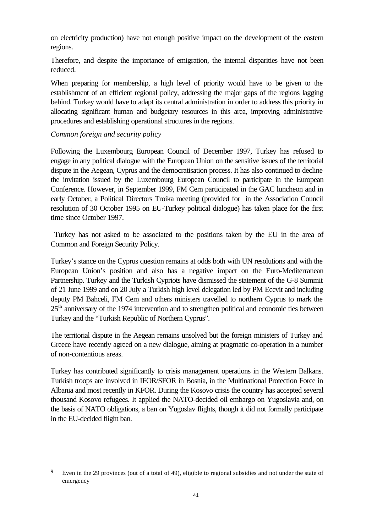on electricity production) have not enough positive impact on the development of the eastern regions.

Therefore, and despite the importance of emigration, the internal disparities have not been reduced.

When preparing for membership, a high level of priority would have to be given to the establishment of an efficient regional policy, addressing the major gaps of the regions lagging behind. Turkey would have to adapt its central administration in order to address this priority in allocating significant human and budgetary resources in this area, improving administrative procedures and establishing operational structures in the regions.

#### *Common foreign and security policy*

l

Following the Luxembourg European Council of December 1997, Turkey has refused to engage in any political dialogue with the European Union on the sensitive issues of the territorial dispute in the Aegean, Cyprus and the democratisation process. It has also continued to decline the invitation issued by the Luxembourg European Council to participate in the European Conference. However, in September 1999, FM Cem participated in the GAC luncheon and in early October, a Political Directors Troika meeting (provided for in the Association Council resolution of 30 October 1995 on EU-Turkey political dialogue) has taken place for the first time since October 1997.

 Turkey has not asked to be associated to the positions taken by the EU in the area of Common and Foreign Security Policy.

Turkey's stance on the Cyprus question remains at odds both with UN resolutions and with the European Union's position and also has a negative impact on the Euro-Mediterranean Partnership. Turkey and the Turkish Cypriots have dismissed the statement of the G-8 Summit of 21 June 1999 and on 20 July a Turkish high level delegation led by PM Ecevit and including deputy PM Bahceli, FM Cem and others ministers travelled to northern Cyprus to mark the 25<sup>th</sup> anniversary of the 1974 intervention and to strengthen political and economic ties between Turkey and the "Turkish Republic of Northern Cyprus".

The territorial dispute in the Aegean remains unsolved but the foreign ministers of Turkey and Greece have recently agreed on a new dialogue, aiming at pragmatic co-operation in a number of non-contentious areas.

Turkey has contributed significantly to crisis management operations in the Western Balkans. Turkish troops are involved in IFOR/SFOR in Bosnia, in the Multinational Protection Force in Albania and most recently in KFOR. During the Kosovo crisis the country has accepted several thousand Kosovo refugees. It applied the NATO-decided oil embargo on Yugoslavia and, on the basis of NATO obligations, a ban on Yugoslav flights, though it did not formally participate in the EU-decided flight ban.

Even in the 29 provinces (out of a total of 49), eligible to regional subsidies and not under the state of emergency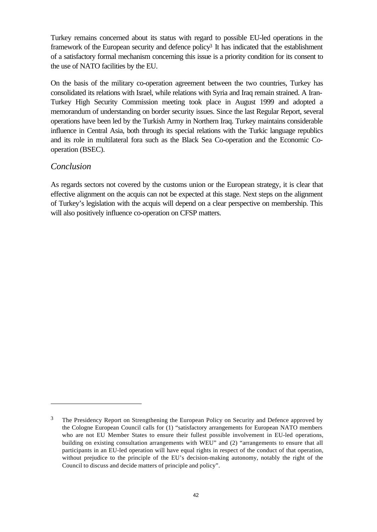Turkey remains concerned about its status with regard to possible EU-led operations in the framework of the European security and defence policy3 It has indicated that the establishment of a satisfactory formal mechanism concerning this issue is a priority condition for its consent to the use of NATO facilities by the EU.

On the basis of the military co-operation agreement between the two countries, Turkey has consolidated its relations with Israel, while relations with Syria and Iraq remain strained. A Iran-Turkey High Security Commission meeting took place in August 1999 and adopted a memorandum of understanding on border security issues. Since the last Regular Report, several operations have been led by the Turkish Army in Northern Iraq. Turkey maintains considerable influence in Central Asia, both through its special relations with the Turkic language republics and its role in multilateral fora such as the Black Sea Co-operation and the Economic Cooperation (BSEC).

# *Conclusion*

l

As regards sectors not covered by the customs union or the European strategy, it is clear that effective alignment on the acquis can not be expected at this stage. Next steps on the alignment of Turkey's legislation with the acquis will depend on a clear perspective on membership. This will also positively influence co-operation on CFSP matters.

<sup>&</sup>lt;sup>3</sup> The Presidency Report on Strengthening the European Policy on Security and Defence approved by the Cologne European Council calls for (1) "satisfactory arrangements for European NATO members who are not EU Member States to ensure their fullest possible involvement in EU-led operations, building on existing consultation arrangements with WEU" and (2) "arrangements to ensure that all participants in an EU-led operation will have equal rights in respect of the conduct of that operation, without prejudice to the principle of the EU's decision-making autonomy, notably the right of the Council to discuss and decide matters of principle and policy".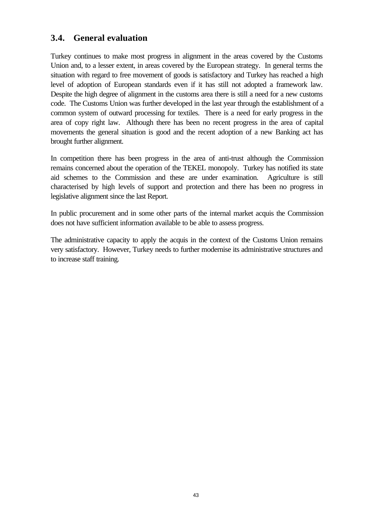# **3.4. General evaluation**

Turkey continues to make most progress in alignment in the areas covered by the Customs Union and, to a lesser extent, in areas covered by the European strategy. In general terms the situation with regard to free movement of goods is satisfactory and Turkey has reached a high level of adoption of European standards even if it has still not adopted a framework law. Despite the high degree of alignment in the customs area there is still a need for a new customs code. The Customs Union was further developed in the last year through the establishment of a common system of outward processing for textiles. There is a need for early progress in the area of copy right law. Although there has been no recent progress in the area of capital movements the general situation is good and the recent adoption of a new Banking act has brought further alignment.

In competition there has been progress in the area of anti-trust although the Commission remains concerned about the operation of the TEKEL monopoly. Turkey has notified its state aid schemes to the Commission and these are under examination. Agriculture is still characterised by high levels of support and protection and there has been no progress in legislative alignment since the last Report.

In public procurement and in some other parts of the internal market acquis the Commission does not have sufficient information available to be able to assess progress.

The administrative capacity to apply the acquis in the context of the Customs Union remains very satisfactory. However, Turkey needs to further modernise its administrative structures and to increase staff training.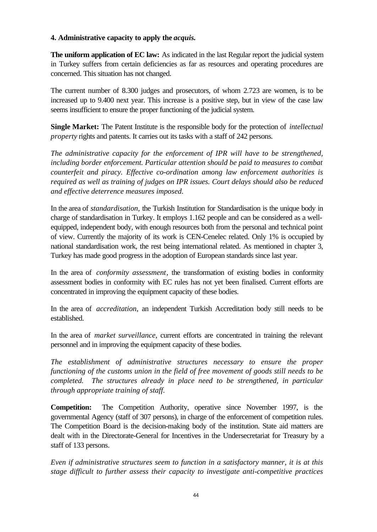#### **4. Administrative capacity to apply the** *acquis.*

**The uniform application of EC law:** As indicated in the last Regular report the judicial system in Turkey suffers from certain deficiencies as far as resources and operating procedures are concerned. This situation has not changed.

The current number of 8.300 judges and prosecutors, of whom 2.723 are women, is to be increased up to 9.400 next year. This increase is a positive step, but in view of the case law seems insufficient to ensure the proper functioning of the judicial system.

**Single Market:** The Patent Institute is the responsible body for the protection of *intellectual property* rights and patents. It carries out its tasks with a staff of 242 persons.

*The administrative capacity for the enforcement of IPR will have to be strengthened, including border enforcement. Particular attention should be paid to measures to combat counterfeit and piracy. Effective co-ordination among law enforcement authorities is required as well as training of judges on IPR issues. Court delays should also be reduced and effective deterrence measures imposed*.

In the area of *standardisation,* the Turkish Institution for Standardisation is the unique body in charge of standardisation in Turkey. It employs 1.162 people and can be considered as a wellequipped, independent body, with enough resources both from the personal and technical point of view. Currently the majority of its work is CEN-Cenelec related. Only 1% is occupied by national standardisation work, the rest being international related. As mentioned in chapter 3, Turkey has made good progress in the adoption of European standards since last year.

In the area of *conformity assessment*, the transformation of existing bodies in conformity assessment bodies in conformity with EC rules has not yet been finalised. Current efforts are concentrated in improving the equipment capacity of these bodies.

In the area of *accreditation,* an independent Turkish Accreditation body still needs to be established.

In the area of *market surveillance*, current efforts are concentrated in training the relevant personnel and in improving the equipment capacity of these bodies.

*The establishment of administrative structures necessary to ensure the proper functioning of the customs union in the field of free movement of goods still needs to be completed. The structures already in place need to be strengthened, in particular through appropriate training of staff.*

**Competition:** The Competition Authority, operative since November 1997, is the governmental Agency (staff of 307 persons), in charge of the enforcement of competition rules. The Competition Board is the decision-making body of the institution. State aid matters are dealt with in the Directorate-General for Incentives in the Undersecretariat for Treasury by a staff of 133 persons.

*Even if administrative structures seem to function in a satisfactory manner, it is at this stage difficult to further assess their capacity to investigate anti-competitive practices*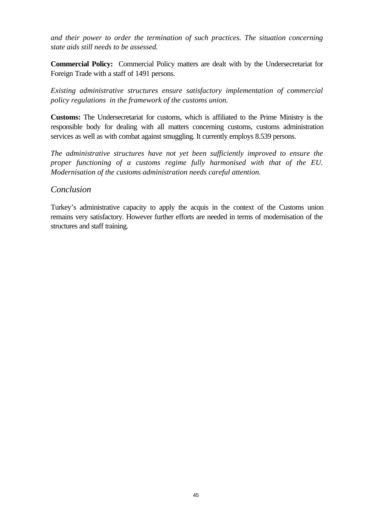*and their power to order the termination of such practices. The situation concerning state aids still needs to be assessed.*

**Commercial Policy:** Commercial Policy matters are dealt with by the Undersecretariat for Foreign Trade with a staff of 1491 persons.

*Existing administrative structures ensure satisfactory implementation of commercial policy regulations in the framework of the customs union.*

**Customs:** The Undersecretariat for customs, which is affiliated to the Prime Ministry is the responsible body for dealing with all matters concerning customs, customs administration services as well as with combat against smuggling. It currently employs 8.539 persons.

*The administrative structures have not yet been sufficiently improved to ensure the proper functioning of a customs regime fully harmonised with that of the EU. Modernisation of the customs administration needs careful attention.*

#### *Conclusion*

Turkey's administrative capacity to apply the acquis in the context of the Customs union remains very satisfactory. However further efforts are needed in terms of modernisation of the structures and staff training.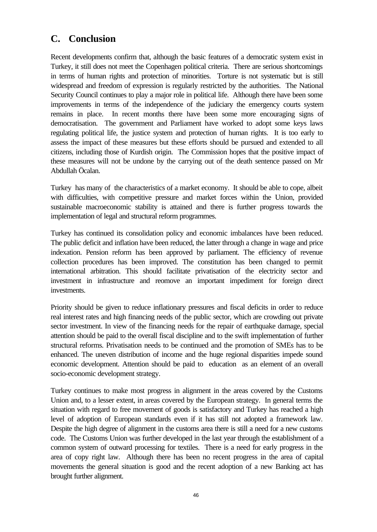# **C. Conclusion**

Recent developments confirm that, although the basic features of a democratic system exist in Turkey, it still does not meet the Copenhagen political criteria. There are serious shortcomings in terms of human rights and protection of minorities. Torture is not systematic but is still widespread and freedom of expression is regularly restricted by the authorities. The National Security Council continues to play a major role in political life. Although there have been some improvements in terms of the independence of the judiciary the emergency courts system remains in place. In recent months there have been some more encouraging signs of democratisation. The government and Parliament have worked to adopt some keys laws regulating political life, the justice system and protection of human rights. It is too early to assess the impact of these measures but these efforts should be pursued and extended to all citizens, including those of Kurdish origin. The Commission hopes that the positive impact of these measures will not be undone by the carrying out of the death sentence passed on Mr Abdullah Öcalan.

Turkey has many of the characteristics of a market economy. It should be able to cope, albeit with difficulties, with competitive pressure and market forces within the Union, provided sustainable macroeconomic stability is attained and there is further progress towards the implementation of legal and structural reform programmes.

Turkey has continued its consolidation policy and economic imbalances have been reduced. The public deficit and inflation have been reduced, the latter through a change in wage and price indexation. Pension reform has been approved by parliament. The efficiency of revenue collection procedures has been improved. The constitution has been changed to permit international arbitration. This should facilitate privatisation of the electricity sector and investment in infrastructure and reomove an important impediment for foreign direct investments.

Priority should be given to reduce inflationary pressures and fiscal deficits in order to reduce real interest rates and high financing needs of the public sector, which are crowding out private sector investment. In view of the financing needs for the repair of earthquake damage, special attention should be paid to the overall fiscal discipline and to the swift implementation of further structural reforms. Privatisation needs to be continued and the promotion of SMEs has to be enhanced. The uneven distribution of income and the huge regional disparities impede sound economic development. Attention should be paid to education as an element of an overall socio-economic development strategy.

Turkey continues to make most progress in alignment in the areas covered by the Customs Union and, to a lesser extent, in areas covered by the European strategy. In general terms the situation with regard to free movement of goods is satisfactory and Turkey has reached a high level of adoption of European standards even if it has still not adopted a framework law. Despite the high degree of alignment in the customs area there is still a need for a new customs code. The Customs Union was further developed in the last year through the establishment of a common system of outward processing for textiles. There is a need for early progress in the area of copy right law. Although there has been no recent progress in the area of capital movements the general situation is good and the recent adoption of a new Banking act has brought further alignment.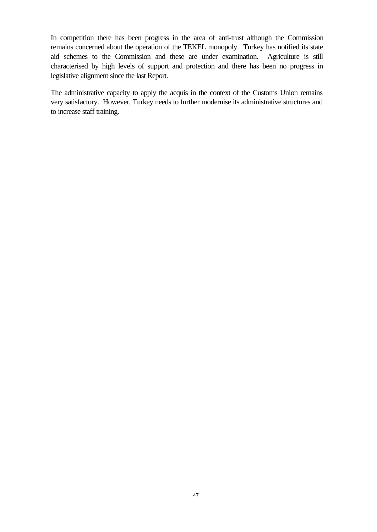In competition there has been progress in the area of anti-trust although the Commission remains concerned about the operation of the TEKEL monopoly. Turkey has notified its state aid schemes to the Commission and these are under examination. Agriculture is still characterised by high levels of support and protection and there has been no progress in legislative alignment since the last Report.

The administrative capacity to apply the acquis in the context of the Customs Union remains very satisfactory. However, Turkey needs to further modernise its administrative structures and to increase staff training.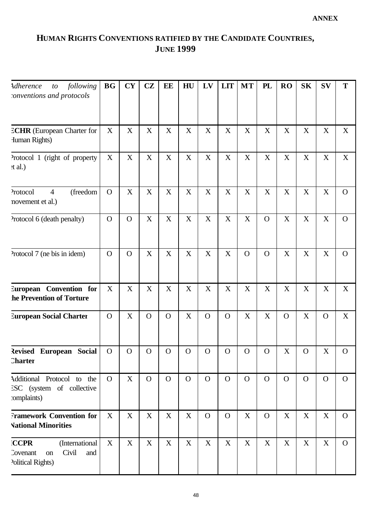# **HUMAN RIGHTS CONVENTIONS RATIFIED BY THE CANDIDATE COUNTRIES, JUNE 1999**

| following<br>Adherence<br>to<br>conventions and protocols                                    | <b>BG</b>                 | <b>CY</b>   | <b>CZ</b>                 | EE                        | HU                        | LV                        | <b>LIT</b>                | <b>MT</b>                 | PL                        | <b>RO</b>                 | <b>SK</b>                 | <b>SV</b>                 | T                         |
|----------------------------------------------------------------------------------------------|---------------------------|-------------|---------------------------|---------------------------|---------------------------|---------------------------|---------------------------|---------------------------|---------------------------|---------------------------|---------------------------|---------------------------|---------------------------|
| <b>ECHR</b> (European Charter for<br><b>Human Rights</b> )                                   | X                         | X           | X                         | X                         | X                         | X                         | X                         | X                         | X                         | X                         | X                         | X                         | X                         |
| Protocol 1 (right of property<br>$\pm$ al.)                                                  | $\mathbf X$               | $\mathbf X$ | $\boldsymbol{\mathrm{X}}$ | $\boldsymbol{\mathrm{X}}$ | $\boldsymbol{\mathrm{X}}$ | $\mathbf X$               | $\boldsymbol{\mathrm{X}}$ | $\boldsymbol{\mathrm{X}}$ | $\boldsymbol{\mathrm{X}}$ | $\boldsymbol{\mathrm{X}}$ | $\boldsymbol{\mathrm{X}}$ | $\boldsymbol{\mathrm{X}}$ | $\boldsymbol{\mathrm{X}}$ |
| (freedom<br>Protocol<br>$\overline{4}$<br>novement et al.)                                   | $\mathbf{O}$              | $\mathbf X$ | $\boldsymbol{\mathrm{X}}$ | $\boldsymbol{\mathrm{X}}$ | $\mathbf X$               | $\mathbf X$               | $\mathbf X$               | $\mathbf X$               | $\mathbf X$               | $\mathbf X$               | $\boldsymbol{\mathrm{X}}$ | $\boldsymbol{\mathrm{X}}$ | $\mathbf{O}$              |
| Protocol 6 (death penalty)                                                                   | $\mathbf{O}$              | $\Omega$    | $\mathbf X$               | $\mathbf X$               | $\boldsymbol{\mathrm{X}}$ | $\mathbf X$               | $\boldsymbol{X}$          | $\boldsymbol{\mathrm{X}}$ | $\mathbf{O}$              | $\mathbf X$               | $\mathbf X$               | $\mathbf X$               | $\mathbf{O}$              |
| Protocol 7 (ne bis in idem)                                                                  | $\mathbf{O}$              | $\mathbf O$ | $\boldsymbol{\mathrm{X}}$ | $\boldsymbol{\mathrm{X}}$ | $\boldsymbol{\mathrm{X}}$ | $\boldsymbol{\mathrm{X}}$ | X                         | $\Omega$                  | $\mathbf O$               | $\mathbf X$               | $\mathbf X$               | $\mathbf X$               | $\mathbf O$               |
| <b>European Convention for</b><br>he Prevention of Torture                                   | $\boldsymbol{\mathrm{X}}$ | $\mathbf X$ | X                         | $\boldsymbol{\mathrm{X}}$ | $\boldsymbol{\mathrm{X}}$ | $\boldsymbol{\mathrm{X}}$ | X                         | X                         | X                         | $\boldsymbol{\mathrm{X}}$ | X                         | $\mathbf X$               | X                         |
| <b>European Social Charter</b>                                                               | $\mathbf{O}$              | X           | $\Omega$                  | $\mathbf{O}$              | X                         | $\mathbf{O}$              | $\mathbf{O}$              | X                         | X                         | $\mathbf{O}$              | X                         | $\mathbf{O}$              | X                         |
| <b>Revised European Social</b><br><b>Charter</b>                                             | $\mathbf{O}$              | $\mathbf O$ | $\mathbf{O}$              | $\mathbf{O}$              | $\Omega$                  | $\Omega$                  | $\mathbf{O}$              | $\Omega$                  | $\mathbf{O}$              | X                         | $\mathbf{O}$              | X                         | $\mathbf{O}$              |
| Additional Protocol to the<br>ESC (system of collective<br>:omplaints)                       | $\Omega$                  | X           | $\Omega$                  | $\Omega$                  | $\mathbf{O}$              | $\Omega$                  | $\Omega$                  | $\Omega$                  | $\mathbf{O}$              | $\Omega$                  | $\Omega$                  | $\Omega$                  | $\mathbf{O}$              |
| <b>Framework Convention for</b><br><b>National Minorities</b>                                | X                         | X           | X                         | X                         | X                         | $\mathbf{O}$              | $\Omega$                  | X                         | $\mathbf{O}$              | X                         | X                         | X                         | $\mathbf{O}$              |
| (International<br><b>ICCPR</b><br>Civil<br><b>Covenant</b><br>and<br>on<br>Political Rights) | X                         | X           | X                         | X                         | X                         | X                         | X                         | X                         | X                         | X                         | X                         | X                         | $\mathbf{O}$              |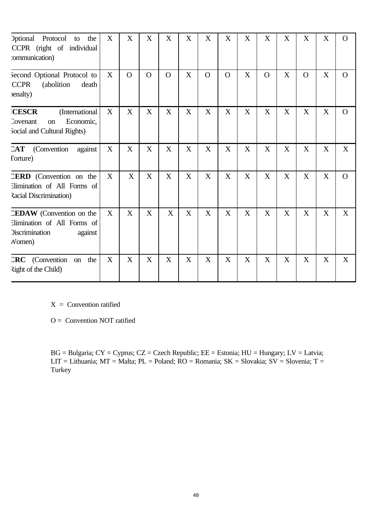| <b>Optional</b><br>Protocol<br>the<br>to<br>CCPR (right of individual<br>communication)               | X | X        | X        | X        | X | X        | X        | X | X        | X                | X        | X | $\Omega$ |
|-------------------------------------------------------------------------------------------------------|---|----------|----------|----------|---|----------|----------|---|----------|------------------|----------|---|----------|
| Second Optional Protocol to<br>(abolition)<br>death<br><b>CCPR</b><br><i>s</i> enalty)                | X | $\Omega$ | $\Omega$ | $\Omega$ | X | $\Omega$ | $\Omega$ | X | $\Omega$ | X                | $\Omega$ | X | $\Omega$ |
| <b>ICESCR</b><br>(International<br>Economic,<br>Covenant<br>on<br>Social and Cultural Rights)         | X | X        | X        | X        | X | X        | X        | X | X        | X                | X        | X | $\Omega$ |
| CAT<br>(Convention)<br>against<br>Torture)                                                            | X | X        | X        | X        | X | X        | X        | X | X        | X                | X        | X | X        |
| CERD (Convention on the<br>Elimination of All Forms of<br>Racial Discrimination)                      | X | X        | X        | X        | X | X        | X        | X | X        | X                | X        | X | $\Omega$ |
| CEDAW (Convention on the<br>Elimination of All Forms of<br><b>Discrimination</b><br>against<br>Women) | X | X        | X        | X        | X | X        | X        | X | X        | X                | X        | X | X        |
| $CRC$ (Convention<br>the<br>on<br>Right of the Child)                                                 | X | X        | X        | X        | X | X        | X        | X | X        | $\boldsymbol{X}$ | X        | X | X        |

X = Convention ratified

O = Convention NOT ratified

BG = Bulgaria; CY = Cyprus; CZ = Czech Republic; EE = Estonia; HU = Hungary; LV = Latvia; LIT = Lithuania;  $MT = M$ alta; PL = Poland;  $\overline{RO} =$  Romania; SK = Slovakia; SV = Slovenia; T = Turkey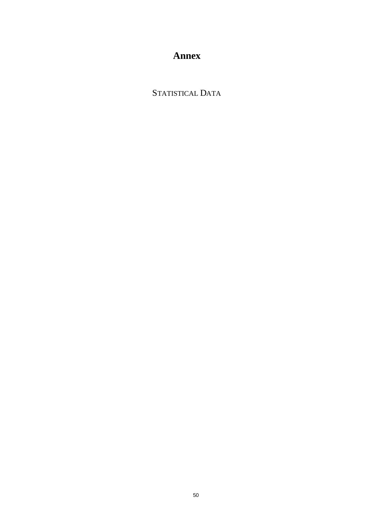# **Annex**

# STATISTICAL DATA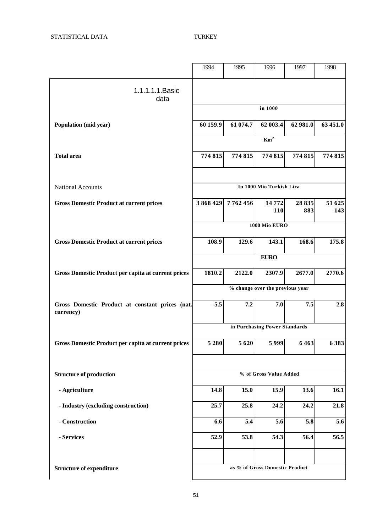|                                                              | 1994          | 1995     | 1996                            | 1997         | 1998          |
|--------------------------------------------------------------|---------------|----------|---------------------------------|--------------|---------------|
| 1.1.1.1.1. Basic<br>data                                     |               |          |                                 |              |               |
|                                                              |               |          | in 1000                         |              |               |
| Population (mid year)                                        | 60 159.9      | 61 074.7 | 62 003.4                        | 62 981.0     | 63 451.0      |
|                                                              |               |          | Km <sup>2</sup>                 |              |               |
| <b>Total area</b>                                            | 774 815       | 774815   | 774815                          | 774815       | 774815        |
|                                                              |               |          |                                 |              |               |
| National Accounts                                            |               |          | In 1000 Mio Turkish Lira        |              |               |
| <b>Gross Domestic Product at current prices</b>              | 3868429       | 7762456  | 14772<br><b>110</b>             | 28835<br>883 | 51 625<br>143 |
|                                                              |               |          |                                 |              |               |
|                                                              | 1000 Mio EURO |          |                                 |              |               |
| <b>Gross Domestic Product at current prices</b>              | 108.9         | 129.6    | 143.1                           | 168.6        | 175.8         |
|                                                              | <b>EURO</b>   |          |                                 |              |               |
| <b>Gross Domestic Product per capita at current prices</b>   | 1810.2        | 2122.0   | 2307.9                          | 2677.0       | 2770.6        |
|                                                              |               |          | % change over the previous year |              |               |
| Gross Domestic Product at constant prices (nat.<br>currency) | $-5.5$        | 7.2      | 7.0                             | 7.5          | 2.8           |
|                                                              |               |          | in Purchasing Power Standards   |              |               |
| <b>Gross Domestic Product per capita at current prices</b>   | 5 2 8 0       | 5 6 2 0  | 5 9 9 9 1                       | 6463         | 6383          |
|                                                              |               |          |                                 |              |               |
| <b>Structure of production</b>                               |               |          | % of Gross Value Added          |              |               |
| - Agriculture                                                | 14.8          | 15.0     | 15.9                            | 13.6         | 16.1          |
| - Industry (excluding construction)                          | 25.7          | 25.8     | 24.2                            | 24.2         | 21.8          |
| - Construction                                               | 6.6           | 5.4      | 5.6                             | 5.8          | 5.6           |
| - Services                                                   | 52.9          | 53.8     | 54.3                            | 56.4         | 56.5          |
|                                                              |               |          |                                 |              |               |
| <b>Structure of expenditure</b>                              |               |          | as % of Gross Domestic Product  |              |               |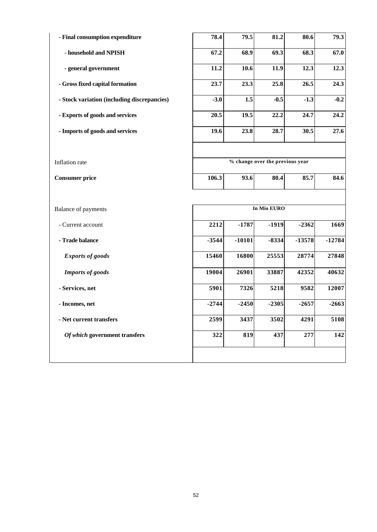| - Final consumption expenditure             | 78.4                            | 79.5     | 81.2        | 80.6     | 79.3     |
|---------------------------------------------|---------------------------------|----------|-------------|----------|----------|
| - household and NPISH                       | 67.2                            | 68.9     | 69.3        | 68.3     | 67.0     |
| - general government                        | 11.2                            | 10.6     | 11.9        | 12.3     | 12.3     |
| - Gross fixed capital formation             | 23.7                            | 23.3     | 25.8        | 26.5     | 24.3     |
| - Stock variation (including discrepancies) | $-3.0$                          | 1.5      | $-0.5$      | $-1.3$   | $-0.2$   |
| - Exports of goods and services             | 20.5                            | 19.5     | 22.2        | 24.7     | 24.2     |
| - Imports of goods and services             | 19.6                            | 23.8     | 28.7        | 30.5     | 27.6     |
|                                             |                                 |          |             |          |          |
| Inflation rate                              | % change over the previous year |          |             |          |          |
| <b>Consumer price</b>                       | 106.3                           | 93.6     | 80.4        | 85.7     | 84.6     |
|                                             |                                 |          |             |          |          |
| Balance of payments                         |                                 |          | In Mio EURO |          |          |
| - Current account                           | 2212                            | $-1787$  | $-1919$     | $-2362$  | 1669     |
| - Trade balance                             | $-3544$                         | $-10101$ | $-8334$     | $-13578$ | $-12784$ |
| <b>Exports of goods</b>                     | 15460                           | 16800    | 25553       | 28774    | 27848    |
| <b>Imports of goods</b>                     | 19004                           | 26901    | 33887       | 42352    | 40632    |
| - Services, net                             | 5901                            | 7326     | 5218        | 9582     | 12007    |
| - Incomes, net                              | $-2744$                         | $-2450$  | $-2305$     | $-2657$  | $-2663$  |
| - Net current transfers                     | 2599                            | 3437     | 3502        | 4291     | 5108     |
| Of which government transfers               | 322                             | 819      | 437         | 277      | 142      |
|                                             |                                 |          |             |          |          |
|                                             |                                 |          |             |          |          |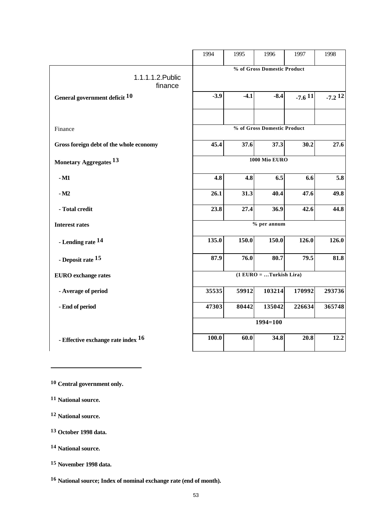|                                         | 1994   | 1995   | 1996                        | 1997     | 1998      |
|-----------------------------------------|--------|--------|-----------------------------|----------|-----------|
| 1.1.1.1.2. Public<br>finance            |        |        | % of Gross Domestic Product |          |           |
| General government deficit 10           | $-3.9$ | $-4.1$ | $-8.4$                      | $-7.611$ | $-7.2$ 12 |
| Finance                                 |        |        | % of Gross Domestic Product |          |           |
|                                         |        |        |                             |          |           |
| Gross foreign debt of the whole economy | 45.4   | 37.6   | 37.3                        | 30.2     | 27.6      |
| Monetary Aggregates <sup>13</sup>       |        |        | 1000 Mio EURO               |          |           |
| $-M1$                                   | 4.8    | 4.8    | 6.5                         | 6.6      | 5.8       |
| $-M2$                                   | 26.1   | 31.3   | 40.4                        | 47.6     | 49.8      |
| - Total credit                          | 23.8   | 27.4   | 36.9                        | 42.6     | 44.8      |
| <b>Interest rates</b>                   |        |        | $%$ per annum               |          |           |
| - Lending rate 14                       | 135.0  | 150.0  | 150.0                       | 126.0    | 126.0     |
| - Deposit rate 15                       | 87.9   | 76.0   | 80.7                        | 79.5     | 81.8      |
| <b>EURO</b> exchange rates              |        |        | $(1$ EURO = Turkish Lira)   |          |           |
| - Average of period                     | 35535  | 59912  | 103214                      | 170992   | 293736    |
| - End of period                         | 47303  | 80442  | 135042                      | 226634   | 365748    |
|                                         |        |        | $1994 = 100$                |          |           |
| - Effective exchange rate index $16$    | 100.0  | 60.0   | 34.8                        | 20.8     | 12.2      |

**10 Central government only.**

l

**12 National source.**

**13 October 1998 data.**

**14 National source.**

**15 November 1998 data.**

**16 National source; Index of nominal exchange rate (end of month).**

**<sup>11</sup> National source.**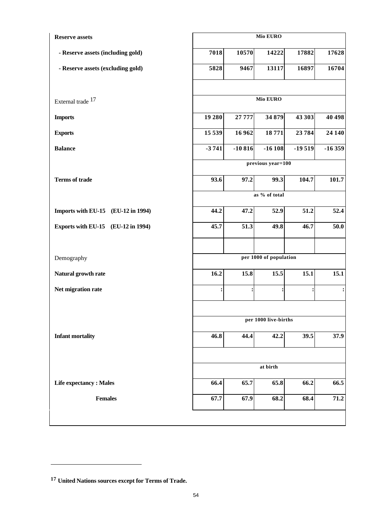| <b>Reserve assets</b>              | Mio EURO          |          |                        |          |          |
|------------------------------------|-------------------|----------|------------------------|----------|----------|
| - Reserve assets (including gold)  | 7018              | 10570    | 14222                  | 17882    | 17628    |
| - Reserve assets (excluding gold)  | 5828              | 9467     | 13117                  | 16897    | 16704    |
|                                    |                   |          |                        |          |          |
| External trade 17                  |                   |          | Mio EURO               |          |          |
| <b>Imports</b>                     | 19 280            | 27777    | 34 879                 | 43 303   | 40 498   |
| <b>Exports</b>                     | 15 5 39           | 16962    | 18771                  | 23784    | 24 140   |
| <b>Balance</b>                     | $-3741$           | $-10816$ | $-16108$               | $-19519$ | $-16359$ |
|                                    | previous year=100 |          |                        |          |          |
| <b>Terms of trade</b>              | 93.6              | 97.2     | 99.3                   | 104.7    | 101.7    |
|                                    | as % of total     |          |                        |          |          |
| Imports with EU-15 (EU-12 in 1994) | 44.2              | 47.2     | 52.9                   | 51.2     | 52.4     |
| Exports with EU-15 (EU-12 in 1994) | 45.7              | 51.3     | 49.8                   | 46.7     | 50.0     |
|                                    |                   |          |                        |          |          |
| Demography                         |                   |          | per 1000 of population |          |          |
| Natural growth rate                | 16.2              | 15.8     | 15.5                   | 15.1     | 15.1     |
| Net migration rate                 |                   |          |                        |          | :        |
|                                    |                   |          |                        |          |          |
|                                    |                   |          | per 1000 live-births   |          |          |
| <b>Infant mortality</b>            | 46.8              | 44.4     | 42.2                   | 39.5     | 37.9     |
|                                    |                   |          |                        |          |          |
|                                    |                   |          | at birth               |          |          |
| <b>Life expectancy: Males</b>      | 66.4              | 65.7     | 65.8                   | 66.2     | 66.5     |
| <b>Females</b>                     | 67.7              | 67.9     | 68.2                   | 68.4     | 71.2     |
|                                    |                   |          |                        |          |          |

l

**<sup>17</sup> United Nations sources except for Terms of Trade.**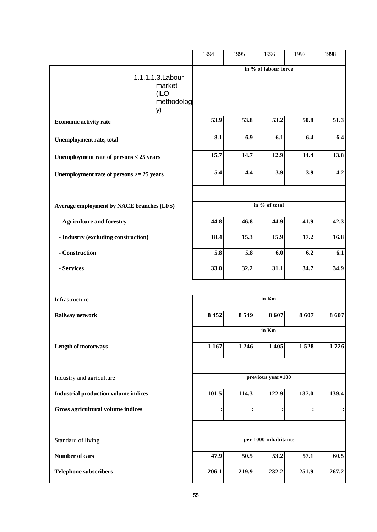|                                                         | 1994    | 1995    | 1996                 | 1997  | 1998           |
|---------------------------------------------------------|---------|---------|----------------------|-------|----------------|
| 1.1.1.1.3. Labour<br>market<br>(ILO<br>methodolog<br>y) |         |         | in % of labour force |       |                |
| <b>Economic activity rate</b>                           | 53.9    | 53.8    | 53.2                 | 50.8  | 51.3           |
| <b>Unemployment rate, total</b>                         | 8.1     | 6.9     | 6.1                  | 6.4   | 6.4            |
| Unemployment rate of persons < 25 years                 | 15.7    | 14.7    | 12.9                 | 14.4  | 13.8           |
| Unemployment rate of persons $>= 25$ years              | 5.4     | 4.4     | 3.9                  | 3.9   | 4.2            |
|                                                         |         |         |                      |       |                |
| Average employment by NACE branches (LFS)               |         |         | in % of total        |       |                |
| - Agriculture and forestry                              | 44.8    | 46.8    | 44.9                 | 41.9  | 42.3           |
| - Industry (excluding construction)                     | 18.4    | 15.3    | 15.9                 | 17.2  | 16.8           |
| - Construction                                          | 5.8     | 5.8     | 6.0                  | 6.2   | 6.1            |
| - Services                                              | 33.0    | 32.2    | 31.1                 | 34.7  | 34.9           |
|                                                         |         |         |                      |       |                |
| Infrastructure                                          |         |         | in Km                |       |                |
| Railway network                                         | 8452    | 8549    | 8607                 | 8607  | 8607           |
|                                                         |         |         | in Km                |       |                |
| Length of motorways                                     | 1 1 6 7 | 1 2 4 6 | 1405                 | 1528  | 1726           |
|                                                         |         |         |                      |       |                |
| Industry and agriculture                                |         |         | previous year=100    |       |                |
| <b>Industrial production volume indices</b>             | 101.5   | 114.3   | 122.9                | 137.0 | 139.4          |
| Gross agricultural volume indices                       |         |         |                      |       | $\ddot{\cdot}$ |
|                                                         |         |         |                      |       |                |
| Standard of living                                      |         |         | per 1000 inhabitants |       |                |
| Number of cars                                          | 47.9    | 50.5    | 53.2                 | 57.1  | 60.5           |
| <b>Telephone subscribers</b>                            | 206.1   | 219.9   | 232.2                | 251.9 | 267.2          |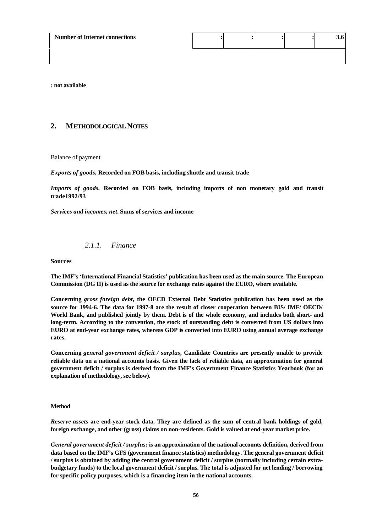**: not available**

#### **2. METHODOLOGICAL NOTES**

Balance of payment

*Exports of goods.* **Recorded on FOB basis, including shuttle and transit trade**

*Imports of goods.* **Recorded on FOB basis, including imports of non monetary gold and transit trade1992/93**

*Services and incomes, net***. Sums of services and income**

#### *2.1.1. Finance*

**Sources**

**The IMF's 'International Financial Statistics' publication has been used as the main source. The European Commission (DG II) is used as the source for exchange rates against the EURO, where available.**

**Concerning** *gross foreign debt***, the OECD External Debt Statistics publication has been used as the source for 1994-6. The data for 1997-8 are the result of closer cooperation between BIS/ IMF/ OECD/ World Bank, and published jointly by them. Debt is of the whole economy, and includes both short- and long-term. According to the convention, the stock of outstanding debt is converted from US dollars into EURO at end-year exchange rates, whereas GDP is converted into EURO using annual average exchange rates.**

**Concerning** *general government deficit / surplus***, Candidate Countries are presently unable to provide reliable data on a national accounts basis. Given the lack of reliable data, an approximation for general government deficit / surplus is derived from the IMF's Government Finance Statistics Yearbook (for an explanation of methodology, see below).**

#### **Method**

*Reserve assets* **are end-year stock data. They are defined as the sum of central bank holdings of gold, foreign exchange, and other (gross) claims on non-residents. Gold is valued at end-year market price.**

*General government deficit / surplus***: is an approximation of the national accounts definition, derived from data based on the IMF's GFS (government finance statistics) methodology. The general government deficit / surplus is obtained by adding the central government deficit / surplus (normally including certain extrabudgetary funds) to the local government deficit / surplus. The total is adjusted for net lending / borrowing for specific policy purposes, which is a financing item in the national accounts.**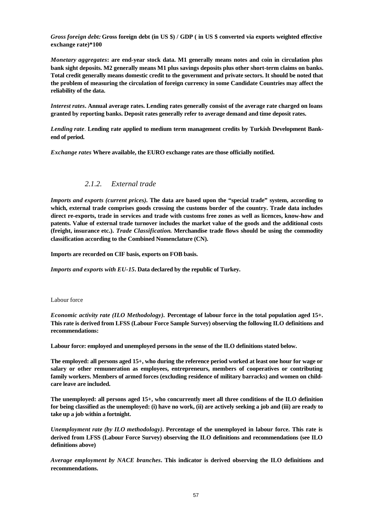*Gross foreign debt:* **Gross foreign debt (in US \$) / GDP ( in US \$ converted via exports weighted effective exchange rate)\*100**

*Monetary aggregates***: are end-year stock data. M1 generally means notes and coin in circulation plus bank sight deposits. M2 generally means M1 plus savings deposits plus other short-term claims on banks. Total credit generally means domestic credit to the government and private sectors. It should be noted that the problem of measuring the circulation of foreign currency in some Candidate Countries may affect the reliability of the data.**

*Interest rates***. Annual average rates. Lending rates generally consist of the average rate charged on loans granted by reporting banks. Deposit rates generally refer to average demand and time deposit rates.**

*Lending rate*. **Lending rate applied to medium term management credits by Turkish Development Bankend of period.**

*Exchange rates* **Where available, the EURO exchange rates are those officially notified.**

#### *2.1.2. External trade*

*Imports and exports (current prices).* **The data are based upon the "special trade" system, according to which, external trade comprises goods crossing the customs border of the country. Trade data includes direct re-exports, trade in services and trade with customs free zones as well as licences, know-how and patents. Value of external trade turnover includes the market value of the goods and the additional costs (freight, insurance etc.).** *Trade Classification***. Merchandise trade flows should be using the commodity classification according to the Combined Nomenclature (CN).**

**Imports are recorded on CIF basis, exports on FOB basis.**

*Imports and exports with EU-15***. Data declared by the republic of Turkey.**

#### Labour force

*Economic activity rate (ILO Methodology).* **Percentage of labour force in the total population aged 15+. This rate is derived from LFSS (Labour Force Sample Survey) observing the following ILO definitions and recommendations:**

**Labour force: employed and unemployed persons in the sense of the ILO definitions stated below.**

**The employed: all persons aged 15+, who during the reference period worked at least one hour for wage or salary or other remuneration as employees, entrepreneurs, members of cooperatives or contributing family workers. Members of armed forces (excluding residence of military barracks) and women on childcare leave are included.**

**The unemployed: all persons aged 15+, who concurrently meet all three conditions of the ILO definition for being classified as the unemployed: (i) have no work, (ii) are actively seeking a job and (iii) are ready to take up a job within a fortnight.**

*Unemployment rate (by ILO methodology).* **Percentage of the unemployed in labour force. This rate is derived from LFSS (Labour Force Survey) observing the ILO definitions and recommendations (see ILO definitions above)**

*Average employment by NACE branches***. This indicator is derived observing the ILO definitions and recommendations.**